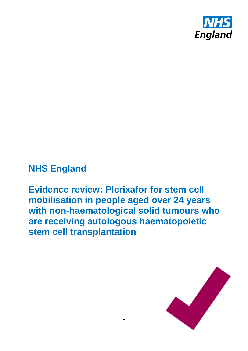

# **NHS England**

**Evidence review: Plerixafor for stem cell mobilisation in people aged over 24 years with non-haematological solid tumours who are receiving autologous haematopoietic stem cell transplantation**

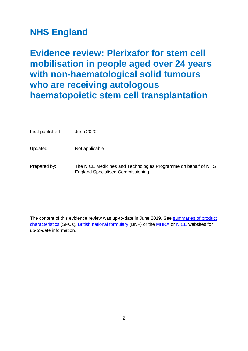# **NHS England**

**Evidence review: Plerixafor for stem cell mobilisation in people aged over 24 years with non-haematological solid tumours who are receiving autologous haematopoietic stem cell transplantation**

First published: June 2020

Updated: Not applicable

Prepared by: The NICE Medicines and Technologies Programme on behalf of NHS England Specialised Commissioning

The content of this evidence review was up-to-date in June 2019. See [summaries of product](http://www.medicines.org.uk/)  [characteristics](http://www.medicines.org.uk/) (SPCs), [British national formulary](https://www.evidence.nhs.uk/formulary/bnf/current) (BNF) or the [MHRA](https://www.gov.uk/government/organisations/medicines-and-healthcare-products-regulatory-agency) or [NICE](http://www.nice.org.uk/) websites for up-to-date information.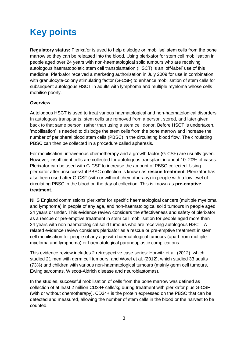# **Key points**

**Regulatory status:** Plerixafor is used to help dislodge or 'mobilise' stem cells from the bone marrow so they can be released into the blood. Using plerixafor for stem cell mobilisation in people aged over 24 years with non-haematological solid tumours who are receiving autologous haematopoietic stem cell transplantation (HSCT) is an 'off-label' use of this medicine. Plerixafor received a marketing authorisation in July 2009 for use in combination with granulocyte-colony stimulating factor (G-CSF) to enhance mobilisation of stem cells for subsequent autologous HSCT in adults with lymphoma and multiple myeloma whose cells mobilise poorly.

#### **Overview**

Autologous HSCT is used to treat various haematological and non-haematological disorders. In autologous transplants, stem cells are removed from a person, stored, and later given back to that same person, rather than using a stem cell donor. Before HSCT is undertaken, 'mobilisation' is needed to dislodge the stem cells from the bone marrow and increase the number of peripheral blood stem cells (PBSC) in the circulating blood flow. The circulating PBSC can then be collected in a procedure called apheresis.

For mobilisation, intravenous chemotherapy and a growth factor (G-CSF) are usually given. However, insufficient cells are collected for autologous transplant in about 10–20% of cases. Plerixafor can be used with G-CSF to increase the amount of PBSC collected. Using plerixafor after unsuccessful PBSC collection is known as **rescue treatment**. Plerixafor has also been used after G-CSF (with or without chemotherapy) in people with a low level of circulating PBSC in the blood on the day of collection. This is known as **pre-emptive treatment**.

NHS England commissions plerixafor for specific haematological cancers (multiple myeloma and lymphoma) in people of any age, and non-haematological solid tumours in people aged 24 years or under. This evidence review considers the effectiveness and safety of plerixafor as a rescue or pre-emptive treatment in stem cell mobilisation for people aged more than 24 years with non-haematological solid tumours who are receiving autologous HSCT. A related evidence review considers plerixafor as a rescue or pre-emptive treatment in stem cell mobilisation for people of any age with haematological tumours (apart from multiple myeloma and lymphoma) or haematological paraneoplastic complications.

This evidence review includes 2 retrospective case series: Horwitz et al. (2012), which studied 21 men with germ cell tumours, and Worel et al. (2012), which studied 33 adults (73%) and children with various non-haematological tumours (mainly germ cell tumours, Ewing sarcomas, Wiscott-Aldrich disease and neuroblastomas).

In the studies, successful mobilisation of cells from the bone marrow was defined as collection of at least 2 million CD34+ cells/kg during treatment with plerixafor plus G-CSF (with or without chemotherapy). CD34+ is the protein expressed on the PBSC that can be detected and measured, allowing the number of stem cells in the blood or the harvest to be counted.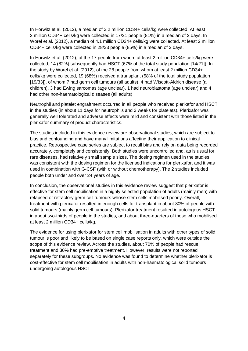In Horwitz et al. (2012), a median of 3.2 million CD34+ cells/kg were collected. At least 2 million CD34+ cells/kg were collected in 17/21 people (81%) in a median of 2 days. In Worel et al. (2012), a median of 4.1 million CD34+ cells/kg were collected. At least 2 million CD34+ cells/kg were collected in 28/33 people (85%) in a median of 2 days.

In Horwitz et al. (2012), of the 17 people from whom at least 2 million CD34+ cells/kg were collected, 14 (82%) subsequently had HSCT (67% of the total study population [14/21]). In the study by Worel et al. (2012), of the 28 people from whom at least 2 million CD34+ cells/kg were collected, 19 (68%) received a transplant (58% of the total study population [19/33]), of whom 7 had germ cell tumours (all adults), 4 had Wiscott-Aldrich disease (all children), 3 had Ewing sarcomas (age unclear), 1 had neuroblastoma (age unclear) and 4 had other non-haematological diseases (all adults).

Neutrophil and platelet engraftment occurred in all people who received plerixafor and HSCT in the studies (in about 11 days for neutrophils and 3 weeks for platelets). Plerixafor was generally well tolerated and adverse effects were mild and consistent with those listed in the plerixafor summary of product characteristics.

The studies included in this evidence review are observational studies, which are subject to bias and confounding and have many limitations affecting their application to clinical practice. Retrospective case series are subject to recall bias and rely on data being recorded accurately, completely and consistently. Both studies were uncontrolled and, as is usual for rare diseases, had relatively small sample sizes. The dosing regimen used in the studies was consistent with the dosing regimen for the licensed indications for plerixafor, and it was used in combination with G-CSF (with or without chemotherapy). The 2 studies included people both under and over 24 years of age.

In conclusion, the observational studies in this evidence review suggest that plerixafor is effective for stem cell mobilisation in a highly selected population of adults (mainly men) with relapsed or refractory germ cell tumours whose stem cells mobilised poorly. Overall, treatment with plerixafor resulted in enough cells for transplant in about 80% of people with solid tumours (mainly germ cell tumours). Plerixafor treatment resulted in autologous HSCT in about two-thirds of people in the studies, and about three-quarters of those who mobilised at least 2 million CD34+ cells/kg.

The evidence for using plerixafor for stem cell mobilisation in adults with other types of solid tumour is poor and likely to be based on single case reports only, which were outside the scope of this evidence review. Across the studies, about 70% of people had rescue treatment and 30% had pre-emptive treatment. However, results were not reported separately for these subgroups. No evidence was found to determine whether plerixafor is cost-effective for stem cell mobilisation in adults with non-haematological solid tumours undergoing autologous HSCT.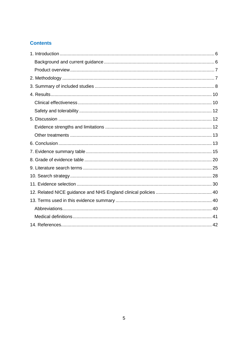# **Contents**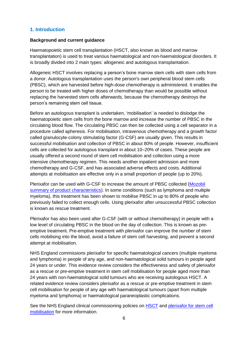#### <span id="page-5-0"></span>**1. Introduction**

#### <span id="page-5-1"></span>**Background and current guidance**

Haematopoietic stem cell transplantation (HSCT, also known as blood and marrow transplantation) is used to treat various haematological and non-haematological disorders. It is broadly divided into 2 main types: allogeneic and autologous transplantation.

Allogeneic HSCT involves replacing a person's bone marrow stem cells with stem cells from a donor. Autologous transplantation uses the person's own peripheral blood stem cells (PBSC), which are harvested before high-dose chemotherapy is administered. It enables the person to be treated with higher doses of chemotherapy than would be possible without replacing the harvested stem cells afterwards, because the chemotherapy destroys the person's remaining stem cell tissue.

Before an autologous transplant is undertaken, 'mobilisation' is needed to dislodge the haematopoietic stem cells from the bone marrow and increase the number of PBSC in the circulating blood flow. The circulating PBSC can then be collected using a cell separator in a procedure called apheresis. For mobilisation, intravenous chemotherapy and a growth factor called granulocyte-colony stimulating factor (G-CSF) are usually given. This results in successful mobilisation and collection of PBSC in about 80% of people. However, insufficient cells are collected for autologous transplant in about 10–20% of cases. These people are usually offered a second round of stem cell mobilisation and collection using a more intensive chemotherapy regimen. This needs another inpatient admission and more chemotherapy and G-CSF, and has associated adverse effects and costs. Additional attempts at mobilisation are effective only in a small proportion of people (up to 20%).

Plerixafor can be used with G-CSF to increase the amount of PBSC collected [\(Mozobil](https://www.medicines.org.uk/emc/product/790/smpc)  [summary of product characteristics\)](https://www.medicines.org.uk/emc/product/790/smpc). In some conditions (such as lymphoma and multiple myeloma), this treatment has been shown to mobilise PBSC in up to 80% of people who previously failed to collect enough cells. Using plerixafor after unsuccessful PBSC collection is known as rescue treatment.

Plerixafor has also been used after G-CSF (with or without chemotherapy) in people with a low level of circulating PBSC in the blood on the day of collection. This is known as preemptive treatment. Pre-emptive treatment with plerixafor can improve the number of stem cells mobilising into the blood, avoid a failure of stem cell harvesting, and prevent a second attempt at mobilisation.

NHS England commissions plerixafor for specific haematological cancers (multiple myeloma and lymphoma) in people of any age, and non-haematological solid tumours in people aged 24 years or under. This evidence review considers the effectiveness and safety of plerixafor as a rescue or pre-emptive treatment in stem cell mobilisation for people aged more than 24 years with non-haematological solid tumours who are receiving autologous HSCT. A related evidence review considers plerixafor as a rescue or pre-emptive treatment in stem cell mobilisation for people of any age with haematological tumours (apart from multiple myeloma and lymphoma) or haematological paraneoplastic complications.

See the NHS England clinical commissioning policies on **[HSCT](https://www.england.nhs.uk/wp-content/uploads/2018/07/Haematopoietic-stem-cell-transplantation-All-Ages.pdf)** and plerixafor for stem cell [mobilisation](https://www.england.nhs.uk/wp-content/uploads/2018/07/Plerixafor-for-paediatric-stem-cell-mobilisation.pdf) for more information.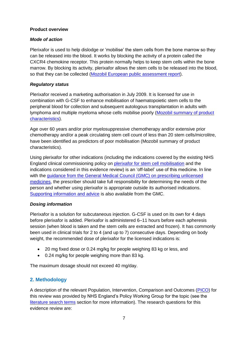#### <span id="page-6-0"></span>**Product overview**

#### *Mode of action*

Plerixafor is used to help dislodge or 'mobilise' the stem cells from the bone marrow so they can be released into the blood. It works by blocking the activity of a protein called the CXCR4 chemokine receptor. This protein normally helps to keep stem cells within the bone marrow. By blocking its activity, plerixafor allows the stem cells to be released into the blood, so that they can be collected [\(Mozobil European public assessment report\)](https://www.ema.europa.eu/en/medicines/human/EPAR/mozobil).

#### *Regulatory status*

Plerixafor received a marketing authorisation in July 2009. It is licensed for use in combination with G-CSF to enhance mobilisation of haematopoietic stem cells to the peripheral blood for collection and subsequent autologous transplantation in adults with lymphoma and multiple myeloma whose cells mobilise poorly [\(Mozobil summary of product](https://www.medicines.org.uk/emc/product/790/smpc)  [characteristics\)](https://www.medicines.org.uk/emc/product/790/smpc).

Age over 60 years and/or prior myelosuppressive chemotherapy and/or extensive prior chemotherapy and/or a peak circulating stem cell count of less than 20 stem cells/microlitre, have been identified as predictors of poor mobilisation (Mozobil summary of product characteristics).

Using plerixafor for other indications (including the indications covered by the existing NHS England clinical commissioning policy on [plerixafor for stem cell mobilisation](https://www.england.nhs.uk/wp-content/uploads/2018/07/Plerixafor-for-paediatric-stem-cell-mobilisation.pdf) and the indications considered in this evidence review) is an 'off-label' use of this medicine. In line with the [guidance from the General Medical Council \(GMC\) on prescribing unlicensed](http://www.gmc-uk.org/guidance/ethical_guidance/14327.asp)  [medicines,](http://www.gmc-uk.org/guidance/ethical_guidance/14327.asp) the prescriber should take full responsibility for determining the needs of the person and whether using plerixafor is appropriate outside its authorised indications. [Supporting information and advice](http://www.gmc-uk.org/guidance/28349.asp) is also available from the GMC.

#### *Dosing information*

Plerixafor is a solution for subcutaneous injection. G-CSF is used on its own for 4 days before plerixafor is added. Plerixafor is administered 6–11 hours before each apheresis session (when blood is taken and the stem cells are extracted and frozen). It has commonly been used in clinical trials for 2 to 4 (and up to 7) consecutive days. Depending on body weight, the recommended dose of plerixafor for the licensed indications is:

- 20 mg fixed dose or 0.24 mg/kg for people weighing 83 kg or less, and
- 0.24 mg/kg for people weighing more than 83 kg.

The maximum dosage should not exceed 40 mg/day.

#### <span id="page-6-1"></span>**2. Methodology**

A description of the relevant Population, Intervention, Comparison and Outcomes [\(PICO\)](https://www.nice.org.uk/Glossary?letter=P) for this review was provided by NHS England's Policy Working Group for the topic (see the [literature search terms](#page-24-0) section for more information). The research questions for this evidence review are: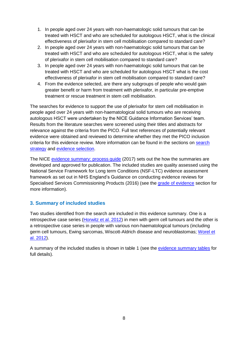- 1. In people aged over 24 years with non-haematologic solid tumours that can be treated with HSCT and who are scheduled for autologous HSCT, what is the clinical effectiveness of plerixafor in stem cell mobilisation compared to standard care?
- 2. In people aged over 24 years with non-haematologic solid tumours that can be treated with HSCT and who are scheduled for autologous HSCT, what is the safety of plerixafor in stem cell mobilisation compared to standard care?
- 3. In people aged over 24 years with non-haematologic solid tumours that can be treated with HSCT and who are scheduled for autologous HSCT what is the cost effectiveness of plerixafor in stem cell mobilisation compared to standard care?
- 4. From the evidence selected, are there any subgroups of people who would gain greater benefit or harm from treatment with plerixafor, in particular pre-emptive treatment or rescue treatment in stem cell mobilisation.

The searches for evidence to support the use of plerixafor for stem cell mobilisation in people aged over 24 years with non-haematological solid tumours who are receiving autologous HSCT were undertaken by the NICE Guidance Information Services' team. Results from the literature searches were screened using their titles and abstracts for relevance against the criteria from the PICO. Full text references of potentially relevant evidence were obtained and reviewed to determine whether they met the PICO inclusion criteria for this evidence review. More information can be found in the sections on [search](#page-27-0)  [strategy](#page-27-0) and [evidence selection.](#page-29-0)

The NICE [evidence summary: process guide](https://www.nice.org.uk/process/pmg31/chapter/introduction) (2017) sets out the how the summaries are developed and approved for publication. The included studies are quality assessed using the National Service Framework for Long term Conditions (NSF-LTC) evidence assessment framework as set out in NHS England's Guidance on conducting evidence reviews for Specialised Services Commissioning Products (2016) (see the [grade of evidence](#page-19-0) section for more information).

## <span id="page-7-0"></span>**3. Summary of included studies**

Two studies identified from the search are included in this evidence summary. One is a retrospective case series [\(Horwitz et al. 2012\)](https://www.nature.com/articles/bmt201221) in men with germ cell tumours and the other is a retrospective case series in people with various non-haematological tumours (including germ cell tumours, Ewing sarcomas, Wiscott-Aldrich disease and neuroblastomas; [Worel et](https://onlinelibrary.wiley.com/doi/abs/10.1111/j.1537-2995.2012.03603.x)  [al. 2012\)](https://onlinelibrary.wiley.com/doi/abs/10.1111/j.1537-2995.2012.03603.x).

A summary of the included studies is shown in table 1 (see the [evidence summary tables](#page-14-0) for full details).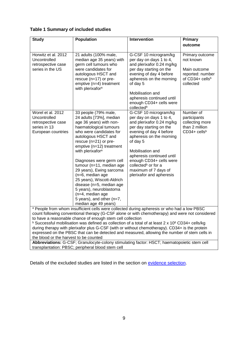#### **Table 1 Summary of included studies**

| <b>Study</b>                                                                                  | <b>Population</b>                                                                                                                                                                                                                                                                                                                                                                                                                                                                                                 | Intervention                                                                                                                                                                                                                                                                                                                                                             | Primary                                                                                          |
|-----------------------------------------------------------------------------------------------|-------------------------------------------------------------------------------------------------------------------------------------------------------------------------------------------------------------------------------------------------------------------------------------------------------------------------------------------------------------------------------------------------------------------------------------------------------------------------------------------------------------------|--------------------------------------------------------------------------------------------------------------------------------------------------------------------------------------------------------------------------------------------------------------------------------------------------------------------------------------------------------------------------|--------------------------------------------------------------------------------------------------|
|                                                                                               |                                                                                                                                                                                                                                                                                                                                                                                                                                                                                                                   |                                                                                                                                                                                                                                                                                                                                                                          | outcome                                                                                          |
|                                                                                               |                                                                                                                                                                                                                                                                                                                                                                                                                                                                                                                   |                                                                                                                                                                                                                                                                                                                                                                          |                                                                                                  |
| Horwitz et al. 2012<br>Uncontrolled<br>retrospective case<br>series in the US                 | 21 adults (100% male,<br>median age 35 years) with<br>germ cell tumours who<br>were candidates for<br>autologous HSCT and<br>rescue (n=17) or pre-<br>emptive (n=4) treatment<br>with plerixafor <sup>a</sup>                                                                                                                                                                                                                                                                                                     | G-CSF 10 microgram/kg<br>per day on days 1 to 4,<br>and plerixafor 0.24 mg/kg<br>per day starting on the<br>evening of day 4 before<br>apheresis on the morning<br>of day 5<br>Mobilisation and<br>apheresis continued until                                                                                                                                             | Primary outcome<br>not known<br>Main outcome<br>reported: number<br>of CD34+ cellsb<br>collected |
|                                                                                               |                                                                                                                                                                                                                                                                                                                                                                                                                                                                                                                   | enough CD34+ cells were                                                                                                                                                                                                                                                                                                                                                  |                                                                                                  |
| Worel et al. 2012<br>Uncontrolled<br>retrospective case<br>series in 13<br>European countries | 33 people (79% male,<br>24 adults [73%], median<br>age 36 years) with non-<br>haematological tumours<br>who were candidates for<br>autologous HSCT and<br>rescue (n=21) or pre-<br>emptive (n=12) treatment<br>with plerixafor <sup>a</sup><br>Diagnoses were germ cell<br>tumour (n=11, median age<br>29 years), Ewing sarcoma<br>(n=6, median age<br>25 years), Wiscott-Aldrich<br>disease (n=5, median age<br>5 years), neuroblastoma<br>(n=4, median age<br>5 years), and other (n=7,<br>median age 49 years) | collected <sup>b</sup><br>G-CSF 10 microgram/kg<br>per day on days 1 to 4,<br>and plerixafor 0.24 mg/kg<br>per day starting on the<br>evening of day 4 before<br>apheresis on the morning<br>of day 5<br>Mobilisation and<br>apheresis continued until<br>enough CD34+ cells were<br>collected <sup>b</sup> or for a<br>maximum of 7 days of<br>plerixafor and apheresis | Number of<br>participants<br>collecting more<br>than 2 million<br>$CD34 +$ cellsb                |
|                                                                                               | a People from whom insufficient cells were collected during apheresis or who had a low PBSC                                                                                                                                                                                                                                                                                                                                                                                                                       |                                                                                                                                                                                                                                                                                                                                                                          |                                                                                                  |
|                                                                                               | count following conventional therapy (G-CSF alone or with chemotherapy) and were not considered                                                                                                                                                                                                                                                                                                                                                                                                                   |                                                                                                                                                                                                                                                                                                                                                                          |                                                                                                  |
|                                                                                               | to have a reasonable chance of enough stem cell collection<br><b>b</b> Successful mobilisation was defined as collection of a total of at least 2 x 10 <sup>6</sup> CD34+ cells/kg                                                                                                                                                                                                                                                                                                                                |                                                                                                                                                                                                                                                                                                                                                                          |                                                                                                  |
|                                                                                               | during therapy with plerixafor plus G-CSF (with or without chemotherapy). CD34+ is the protein                                                                                                                                                                                                                                                                                                                                                                                                                    |                                                                                                                                                                                                                                                                                                                                                                          |                                                                                                  |
|                                                                                               | expressed on the PBSC that can be detected and measured, allowing the number of stem cells in                                                                                                                                                                                                                                                                                                                                                                                                                     |                                                                                                                                                                                                                                                                                                                                                                          |                                                                                                  |
| the blood or the harvest to be counted                                                        |                                                                                                                                                                                                                                                                                                                                                                                                                                                                                                                   |                                                                                                                                                                                                                                                                                                                                                                          |                                                                                                  |

**Abbreviations:** G-CSF; Granulocyte-colony stimulating factor: HSCT; haematopoietic stem cell transplantation: PBSC; peripheral blood stem cell

Details of the excluded studies are listed in the section on [evidence selection.](#page-29-0)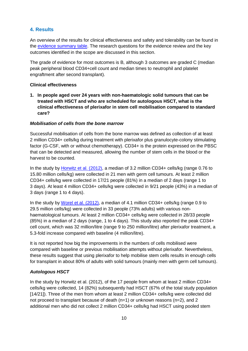### <span id="page-9-0"></span>**4. Results**

An overview of the results for clinical effectiveness and safety and tolerability can be found in the [evidence summary](#page-14-0) table. The research questions for the evidence review and the key outcomes identified in the scope are discussed in this section.

The grade of evidence for most outcomes is B, although 3 outcomes are graded C (median peak peripheral blood CD34+cell count and median times to neutrophil and platelet engraftment after second transplant).

#### <span id="page-9-1"></span>**Clinical effectiveness**

**1. In people aged over 24 years with non-haematologic solid tumours that can be treated with HSCT and who are scheduled for autologous HSCT, what is the clinical effectiveness of plerixafor in stem cell mobilisation compared to standard care?**

#### *Mobilisation of cells from the bone marrow*

Successful mobilisation of cells from the bone marrow was defined as collection of at least 2 million CD34+ cells/kg during treatment with plerixafor plus granulocyte-colony stimulating factor (G-CSF, with or without chemotherapy). CD34+ is the protein expressed on the PBSC that can be detected and measured, allowing the number of stem cells in the blood or the harvest to be counted.

In the study by [Horwitz et al. \(2012\),](https://www.nature.com/articles/bmt201221) a median of 3.2 million CD34+ cells/kg (range 0.76 to 15.80 million cells/kg) were collected in 21 men with germ cell tumours. At least 2 million CD34+ cells/kg were collected in 17/21 people (81%) in a median of 2 days (range 1 to 3 days). At least 4 million CD34+ cells/kg were collected in 9/21 people (43%) in a median of 3 days (range 1 to 4 days).

In the study by [Worel et al. \(2012\),](https://onlinelibrary.wiley.com/doi/abs/10.1111/j.1537-2995.2012.03603.x) a median of 4.1 million CD34+ cells/kg (range 0.9 to 29.5 million cells/kg) were collected in 33 people (73% adults) with various nonhaematological tumours. At least 2 million CD34+ cells/kg were collected in 28/33 people (85%) in a median of 2 days (range, 1 to 4 days). This study also reported the peak CD34+ cell count, which was 32 million/litre (range 9 to 250 million/litre) after plerixafor treatment, a 5.3-fold increase compared with baseline (4 million/litre).

It is not reported how big the improvements in the numbers of cells mobilised were compared with baseline or previous mobilisation attempts without plerixafor. Nevertheless, these results suggest that using plerixafor to help mobilise stem cells results in enough cells for transplant in about 80% of adults with solid tumours (mainly men with germ cell tumours).

#### *Autologous HSCT*

In the study by Horwitz et al. (2012), of the 17 people from whom at least 2 million CD34+ cells/kg were collected, 14 (82%) subsequently had HSCT (67% of the total study population [14/21]). Three of the men from whom at least 2 million CD34+ cells/kg were collected did not proceed to transplant because of death (n=1) or unknown reasons (n=2), and 2 additional men who did not collect 2 million CD34+ cells/kg had HSCT using pooled stem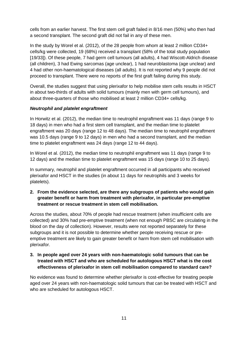cells from an earlier harvest. The first stem cell graft failed in 8/16 men (50%) who then had a second transplant. The second graft did not fail in any of these men.

In the study by Worel et al. (2012), of the 28 people from whom at least 2 million CD34+ cells/kg were collected, 19 (68%) received a transplant (58% of the total study population [19/33]). Of these people, 7 had germ cell tumours (all adults), 4 had Wiscott-Aldrich disease (all children), 3 had Ewing sarcomas (age unclear), 1 had neuroblastoma (age unclear) and 4 had other non-haematological diseases (all adults). It is not reported why 9 people did not proceed to transplant. There were no reports of the first graft failing during this study.

Overall, the studies suggest that using plerixafor to help mobilise stem cells results in HSCT in about two-thirds of adults with solid tumours (mainly men with germ cell tumours), and about three-quarters of those who mobilised at least 2 million CD34+ cells/kg.

#### *Neutrophil and platelet engraftment*

In Horwitz et al. (2012), the median time to neutrophil engraftment was 11 days (range 9 to 18 days) in men who had a first stem cell transplant, and the median time to platelet engraftment was 20 days (range 12 to 48 days). The median time to neutrophil engraftment was 10.5 days (range 9 to 12 days) in men who had a second transplant, and the median time to platelet engraftment was 24 days (range 12 to 44 days).

In Worel et al. (2012), the median time to neutrophil engraftment was 11 days (range 9 to 12 days) and the median time to platelet engraftment was 15 days (range 10 to 25 days).

In summary, neutrophil and platelet engraftment occurred in all participants who received plerixafor and HSCT in the studies (in about 11 days for neutrophils and 3 weeks for platelets).

**2. From the evidence selected, are there any subgroups of patients who would gain greater benefit or harm from treatment with plerixafor, in particular pre-emptive treatment or rescue treatment in stem cell mobilisation.** 

Across the studies, about 70% of people had rescue treatment (when insufficient cells are collected) and 30% had pre-emptive treatment (when not enough PBSC are circulating in the blood on the day of collection). However, results were not reported separately for these subgroups and it is not possible to determine whether people receiving rescue or preemptive treatment are likely to gain greater benefit or harm from stem cell mobilisation with plerixafor.

#### **3. In people aged over 24 years with non-haematologic solid tumours that can be treated with HSCT and who are scheduled for autologous HSCT what is the cost effectiveness of plerixafor in stem cell mobilisation compared to standard care?**

No evidence was found to determine whether plerixafor is cost-effective for treating people aged over 24 years with non-haematologic solid tumours that can be treated with HSCT and who are scheduled for autologous HSCT.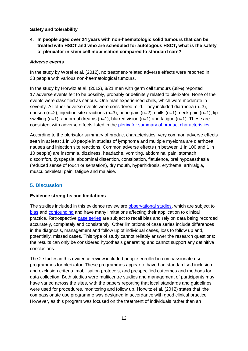#### <span id="page-11-0"></span>**Safety and tolerability**

**4. In people aged over 24 years with non-haematologic solid tumours that can be treated with HSCT and who are scheduled for autologous HSCT, what is the safety of plerixafor in stem cell mobilisation compared to standard care?**

#### *Adverse events*

In the study by Worel et al. (2012), no treatment-related adverse effects were reported in 33 people with various non-haematological tumours.

In the study by Horwitz et al. (2012), 8/21 men with germ cell tumours (38%) reported 17 adverse events felt to be possibly, probably or definitely related to plerixafor. None of the events were classified as serious. One man experienced chills, which were moderate in severity. All other adverse events were considered mild. They included diarrhoea (n=3), nausea (n=2), injection site reactions (n=3), bone pain (n=2), chills (n=1), neck pain (n=1), lip swelling  $(n=1)$ , abnormal dreams  $(n=1)$ , blurred vision  $(n=1)$  and fatigue  $(n=1)$ . These are consistent with adverse effects listed in the [plerixafor summary of product characteristics.](https://www.medicines.org.uk/emc/product/790)

According to the plerixafor summary of product characteristics, very common adverse effects seen in at least 1 in 10 people in studies of lymphoma and multiple myeloma are diarrhoea, nausea and injection site reactions. Common adverse effects (in between 1 in 100 and 1 in 10 people) are insomnia, dizziness, headache, vomiting, abdominal pain, stomach discomfort, dyspepsia, abdominal distention, constipation, flatulence, oral hypoaesthesia (reduced sense of touch or sensation), dry mouth, hyperhidrosis, erythema, arthralgia, musculoskeletal pain, fatigue and malaise.

# <span id="page-11-1"></span>**5. Discussion**

#### <span id="page-11-2"></span>**Evidence strengths and limitations**

The studies included in this evidence review are [observational studies,](https://www.nice.org.uk/Glossary?letter=O) which are subject to [bias](https://www.nice.org.uk/Glossary?letter=B) and [confounding](https://www.nice.org.uk/Glossary?letter=C) and have many limitations affecting their application to clinical practice. Retrospective [case series](https://www.nice.org.uk/Glossary?letter=C) are subject to recall bias and rely on data being recorded accurately, completely and consistently. Other limitations of case series include differences in the diagnosis, management and follow up of individual cases, loss to follow up and, potentially, missed cases. This type of study cannot reliably answer the research questions: the results can only be considered hypothesis generating and cannot support any definitive conclusions.

The 2 studies in this evidence review included people enrolled in compassionate use programmes for plerixafor. These programmes appear to have had standardised inclusion and exclusion criteria, mobilisation protocols, and prespecified outcomes and methods for data collection. Both studies were multicentre studies and management of participants may have varied across the sites, with the papers reporting that local standards and guidelines were used for procedures, monitoring and follow up. Horwitz et al. (2012) states that 'the compassionate use programme was designed in accordance with good clinical practice. However, as this program was focused on the treatment of individuals rather than an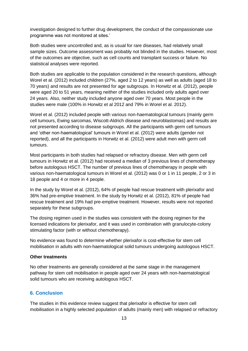investigation designed to further drug development, the conduct of the compassionate use programme was not monitored at sites.'

Both studies were uncontrolled and, as is usual for rare diseases, had relatively small sample sizes. Outcome assessment was probably not blinded in the studies. However, most of the outcomes are objective, such as cell counts and transplant success or failure. No statistical analyses were reported.

Both studies are applicable to the population considered in the research questions, although Worel et al. (2012) included children (27%, aged 2 to 12 years) as well as adults (aged 18 to 70 years) and results are not presented for age subgroups. In Horwitz et al. (2012), people were aged 20 to 51 years, meaning neither of the studies included only adults aged over 24 years. Also, neither study included anyone aged over 70 years. Most people in the studies were male (100% in Horwitz et al 2012 and 79% in Worel et al. 2012).

Worel et al. (2012) included people with various non-haematological tumours (mainly germ cell tumours, Ewing sarcomas, Wiscott-Aldrich disease and neuroblastomas) and results are not presented according to disease subgroups. All the participants with germ cell tumours and 'other non-haematological' tumours in Worel et al. (2012) were adults (gender not reported), and all the participants in Horwitz et al. (2012) were adult men with germ cell tumours.

Most participants in both studies had relapsed or refractory disease. Men with germ cell tumours in Horwitz et al. (2012) had received a median of 3 previous lines of chemotherapy before autologous HSCT. The number of previous lines of chemotherapy in people with various non-haematological tumours in Worel et al. (2012) was 0 or 1 in 11 people, 2 or 3 in 18 people and 4 or more in 4 people.

In the study by Worel et al. (2012), 64% of people had rescue treatment with plerixafor and 36% had pre-emptive treatment. In the study by Horwitz et al. (2012), 81% of people had rescue treatment and 19% had pre-emptive treatment. However, results were not reported separately for these subgroups.

The dosing regimen used in the studies was consistent with the dosing regimen for the licensed indications for plerixafor, and it was used in combination with granulocyte-colony stimulating factor (with or without chemotherapy).

No evidence was found to determine whether plerixafor is cost-effective for stem cell mobilisation in adults with non-haematological solid tumours undergoing autologous HSCT.

#### <span id="page-12-0"></span>**Other treatments**

No other treatments are generally considered at the same stage in the management pathway for stem cell mobilisation in people aged over 24 years with non-haematological solid tumours who are receiving autologous HSCT.

#### <span id="page-12-1"></span>**6. Conclusion**

The studies in this evidence review suggest that plerixafor is effective for stem cell mobilisation in a highly selected population of adults (mainly men) with relapsed or refractory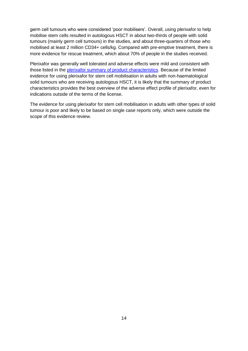germ cell tumours who were considered 'poor mobilisers'. Overall, using plerixafor to help mobilise stem cells resulted in autologous HSCT in about two-thirds of people with solid tumours (mainly germ cell tumours) in the studies, and about three-quarters of those who mobilised at least 2 million CD34+ cells/kg. Compared with pre-emptive treatment, there is more evidence for rescue treatment, which about 70% of people in the studies received.

Plerixafor was generally well tolerated and adverse effects were mild and consistent with those listed in the [plerixafor summary of product characteristics.](https://www.medicines.org.uk/emc/product/790) Because of the limited evidence for using plerixafor for stem cell mobilisation in adults with non-haematological solid tumours who are receiving autologous HSCT, it is likely that the summary of product characteristics provides the best overview of the adverse effect profile of plerixafor, even for indications outside of the terms of the license.

The evidence for using plerixafor for stem cell mobilisation in adults with other types of solid tumour is poor and likely to be based on single case reports only, which were outside the scope of this evidence review.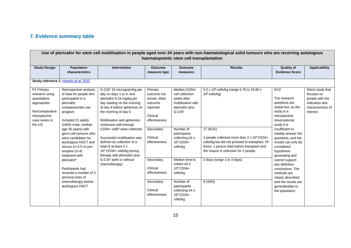# **7. Evidence summary table**

<span id="page-14-0"></span>

|                                                                                                                           |                                                                                                                                                                                                                                                                                                                                                                                                                                                                    |                                                                                                                                                                                                                                                                                                                                                                                                                                                                                       |                                                                                                                                                                                                                         | haematopoietic stem cell transplantation                                                                                                                                                                                                                                                                                                       | Use of plerixafor for stem cell mobilisation in people aged over 24 years with non-haematological solid tumours who are receiving autologous                                                                                                                                                                      |                                                                                                                                                                                                                                                                                                                                                                                                                          |                                                                                                        |
|---------------------------------------------------------------------------------------------------------------------------|--------------------------------------------------------------------------------------------------------------------------------------------------------------------------------------------------------------------------------------------------------------------------------------------------------------------------------------------------------------------------------------------------------------------------------------------------------------------|---------------------------------------------------------------------------------------------------------------------------------------------------------------------------------------------------------------------------------------------------------------------------------------------------------------------------------------------------------------------------------------------------------------------------------------------------------------------------------------|-------------------------------------------------------------------------------------------------------------------------------------------------------------------------------------------------------------------------|------------------------------------------------------------------------------------------------------------------------------------------------------------------------------------------------------------------------------------------------------------------------------------------------------------------------------------------------|-------------------------------------------------------------------------------------------------------------------------------------------------------------------------------------------------------------------------------------------------------------------------------------------------------------------|--------------------------------------------------------------------------------------------------------------------------------------------------------------------------------------------------------------------------------------------------------------------------------------------------------------------------------------------------------------------------------------------------------------------------|--------------------------------------------------------------------------------------------------------|
| <b>Study Design</b>                                                                                                       | Population<br>characteristics                                                                                                                                                                                                                                                                                                                                                                                                                                      | Intervention                                                                                                                                                                                                                                                                                                                                                                                                                                                                          | <b>Outcome</b><br>measure type                                                                                                                                                                                          | <b>Outcome</b><br>measures                                                                                                                                                                                                                                                                                                                     | <b>Results</b>                                                                                                                                                                                                                                                                                                    | <b>Quality of</b><br><b>Evidence Score</b>                                                                                                                                                                                                                                                                                                                                                                               | <b>Applicability</b>                                                                                   |
|                                                                                                                           | Study reference 1: Horwitz et al. 2012                                                                                                                                                                                                                                                                                                                                                                                                                             |                                                                                                                                                                                                                                                                                                                                                                                                                                                                                       |                                                                                                                                                                                                                         |                                                                                                                                                                                                                                                                                                                                                |                                                                                                                                                                                                                                                                                                                   |                                                                                                                                                                                                                                                                                                                                                                                                                          |                                                                                                        |
| P1 Primary<br>research using<br>quantitative<br>approaches<br>Noncomparative<br>retrospective<br>case series in<br>the US | Retrospective analysis<br>of data for people who<br>participated in a<br>plerixafor<br>compassionate use<br>program<br>Included 21 adults<br>(100% male, median<br>age 35 years) with<br>germ cell tumours who<br>were candidates for<br>autologous HSCT and<br>rescue (n=17) or pre-<br>emptive $(n=4)$<br>treatment with<br>plerixafor <sup>a</sup><br>Participants had<br>received a median of 3<br>previous lines of<br>chemotherapy before<br>autologous HSCT | G-CSF 10 microgram/kg per<br>day on days 1 to 4, and<br>plerixafor 0.24 mg/kg per<br>day starting on the evening<br>of day 4 before apheresis on<br>the morning of day 5<br>Mobilisation and apheresis<br>continued until enough<br>CD34+ cells <sup>b</sup> were collected<br>Successful mobilisation was<br>defined as collection of a<br>total of at least 2 x<br>10 <sup>6</sup> CD34+ cells/kg during<br>therapy with plerixafor plus<br>G-CSF (with or without<br>chemotherapy) | Primary<br>outcome not<br>known. Main<br>outcome<br>reported<br>Clinical<br>effectiveness<br>Secondary<br>Clinical<br>effectiveness<br>Secondary<br>Clinical<br>effectiveness<br>Secondary<br>Clinical<br>effectiveness | Median CD34+<br>cell collection<br>yields after<br>mobilisation with<br>plerixafor plus<br>G-CSF<br>Number of<br>participants<br>collecting $\geq 2$ x<br>10°CD34+<br>cells/kg<br>Median time to<br>collect $\geq$ $2x$<br>$10^6$ CD34+<br>cells/kg<br>Number of<br>participants<br>collecting $\geq 4$ x<br>10 <sup>6</sup> CD34+<br>cells/kg | 3.2 x 10 <sup>6</sup> cells/kg (range 0.76 to 15.80 x<br>$10^6$ cells/kg)<br>17 (81%)<br>3 people collected more than 2 x 10° CD34+<br>cells/kg but did not proceed to transplant. Of<br>these, 1 person died before transplant and<br>the reason is unknown for 2 people<br>2 days (range 1 to 3 days)<br>9(43%) | 6/10<br>The research<br>questions are<br>stated but, as the<br>study is a<br>retrospective<br>observational<br>study it is<br>insufficient to<br>reliably answer the<br>questions, and the<br>results can only be<br>considered<br>hypothesis<br>generating and<br>cannot support<br>any definitive<br>conclusions. The<br>methods are<br>clearly described<br>and the results are<br>generalisable to<br>the population | Direct study that<br>focuses on<br>people with the<br>indication and<br>characteristics of<br>interest |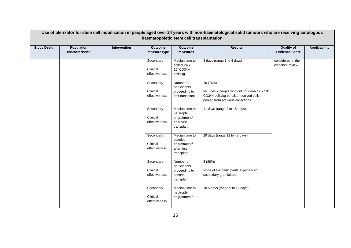|                     |                                      |              |                                        | haematopoietic stem cell transplantation                                              | Use of plerixafor for stem cell mobilisation in people aged over 24 years with non-haematological solid tumours who are receiving autologous        |                                            |                      |
|---------------------|--------------------------------------|--------------|----------------------------------------|---------------------------------------------------------------------------------------|-----------------------------------------------------------------------------------------------------------------------------------------------------|--------------------------------------------|----------------------|
| <b>Study Design</b> | <b>Population</b><br>characteristics | Intervention | <b>Outcome</b><br>measure type         | <b>Outcome</b><br>measures                                                            | <b>Results</b>                                                                                                                                      | <b>Quality of</b><br><b>Evidence Score</b> | <b>Applicability</b> |
|                     |                                      |              | Secondary<br>Clinical<br>effectiveness | Median time to<br>collect $\geq 4$ x<br>10 <sup>6</sup> CD34+<br>cells/kg             | 3 days (range 1 to 4 days)                                                                                                                          | considered in the<br>evidence review       |                      |
|                     |                                      |              | Secondary<br>Clinical<br>effectiveness | Number of<br>participants<br>proceeding to<br>first transplant                        | 16 (76%)<br>Includes 2 people who did not collect 2 x 10 <sup>6</sup><br>CD34+ cells/kg but also received cells<br>pooled from previous collections |                                            |                      |
|                     |                                      |              | Secondary<br>Clinical<br>effectiveness | Median time to<br>neutrophil<br>engraftment <sup>c</sup><br>after first<br>transplant | 11 days (range 9 to 18 days)                                                                                                                        |                                            |                      |
|                     |                                      |              | Secondary<br>Clinical<br>effectiveness | Median time to<br>platelet<br>engraftment <sup>d</sup><br>after first<br>transplant   | 20 days (range 12 to 48 days)                                                                                                                       |                                            |                      |
|                     |                                      |              | Secondary<br>Clinical<br>effectiveness | Number of<br>participants<br>proceeding to<br>second<br>transplant                    | 8(38%)<br>None of the participants experienced<br>secondary graft failure.                                                                          |                                            |                      |
|                     |                                      |              | Secondary<br>Clinical<br>effectiveness | Median time to<br>neutrophil<br>engraftment <sup>c</sup>                              | 10.5 days (range 9 to 12 days)                                                                                                                      |                                            |                      |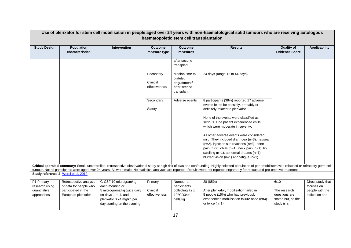|                                                            |                                                                                                |                                                                                                                                                            |                                        | haematopoietic stem cell transplantation                                             | Use of plerixafor for stem cell mobilisation in people aged over 24 years with non-haematological solid tumours who are receiving autologous                                                                                                                                                                                                                                                         |                                                                           |                                                                      |
|------------------------------------------------------------|------------------------------------------------------------------------------------------------|------------------------------------------------------------------------------------------------------------------------------------------------------------|----------------------------------------|--------------------------------------------------------------------------------------|------------------------------------------------------------------------------------------------------------------------------------------------------------------------------------------------------------------------------------------------------------------------------------------------------------------------------------------------------------------------------------------------------|---------------------------------------------------------------------------|----------------------------------------------------------------------|
| <b>Study Design</b>                                        | <b>Population</b><br>characteristics                                                           | Intervention                                                                                                                                               | <b>Outcome</b><br>measure type         | <b>Outcome</b><br>measures                                                           | <b>Results</b>                                                                                                                                                                                                                                                                                                                                                                                       | <b>Quality of</b><br><b>Evidence Score</b>                                | <b>Applicability</b>                                                 |
|                                                            |                                                                                                |                                                                                                                                                            |                                        | after second<br>transplant                                                           |                                                                                                                                                                                                                                                                                                                                                                                                      |                                                                           |                                                                      |
|                                                            |                                                                                                |                                                                                                                                                            | Secondary<br>Clinical<br>effectiveness | Median time to<br>platelet<br>engraftment <sup>d</sup><br>after second<br>transplant | 24 days (range 12 to 44 days)                                                                                                                                                                                                                                                                                                                                                                        |                                                                           |                                                                      |
|                                                            |                                                                                                |                                                                                                                                                            | Secondary<br>Safety                    | Adverse events                                                                       | 8 participants (38%) reported 17 adverse<br>events felt to be possibly, probably or<br>definitely related to plerixafor                                                                                                                                                                                                                                                                              |                                                                           |                                                                      |
|                                                            |                                                                                                |                                                                                                                                                            |                                        |                                                                                      | None of the events were classified as<br>serious. One patient experienced chills,<br>which were moderate in severity.                                                                                                                                                                                                                                                                                |                                                                           |                                                                      |
|                                                            |                                                                                                |                                                                                                                                                            |                                        |                                                                                      | All other adverse events were considered<br>mild. They included diarrhoea (n=3), nausea<br>$(n=2)$ , injection site reactions $(n=3)$ , bone<br>pain (n=2), chills (n=1), neck pain (n=1), lip                                                                                                                                                                                                       |                                                                           |                                                                      |
|                                                            |                                                                                                |                                                                                                                                                            |                                        |                                                                                      | swelling $(n=1)$ , abnormal dreams $(n=1)$ ,<br>blurred vision ( $n=1$ ) and fatigue ( $n=1$ )                                                                                                                                                                                                                                                                                                       |                                                                           |                                                                      |
|                                                            |                                                                                                |                                                                                                                                                            |                                        |                                                                                      | Critical appraisal summary: Small, uncontrolled, retrospective observational study at high risk of bias and confounding. Highly selected population of poor mobilisers with relapsed or refractory germ cell<br>tumour. Not all participants were aged over 24 years. All were male. No statistical analyses are reported. Results were not reported separately for rescue and pre-emptive treatment |                                                                           |                                                                      |
|                                                            | Study reference 2: Worel et al. 2012                                                           |                                                                                                                                                            |                                        |                                                                                      |                                                                                                                                                                                                                                                                                                                                                                                                      |                                                                           |                                                                      |
| P1 Primary<br>research using<br>quantitative<br>approaches | Retrospective analysis<br>of data for people who<br>participated in the<br>European plerixafor | G-CSF 10 microgram/kg<br>each morning or<br>5 micrograms/kg twice daily<br>on days 1 to 4, and<br>plerixafor 0.24 mg/kg per<br>day starting on the evening | Primary<br>Clinical<br>effectiveness   | Number of<br>participants<br>collecting $\geq 2$ x<br>10°CD34+<br>cells/kg           | 28 (85%)<br>After plerixafor, mobilisation failed in<br>5 people (15%) who had previously<br>experienced mobilisation failure once (n=4)<br>or twice $(n=1)$                                                                                                                                                                                                                                         | 6/10<br>The research<br>questions are<br>stated but, as the<br>study is a | Direct study that<br>focuses on<br>people with the<br>indication and |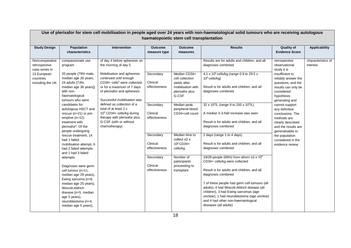|                                                                                                   |                                                                                                                                                                                                                                                                                                                                                                                                                                                                                                                                                                                                                                                                                                             |                                                                                                                                                                                                                                                                                                                                                                                                                                  |                                                                                                                                                                      | haematopoietic stem cell transplantation                                                                                                                                                                                                                                                      | Use of plerixafor for stem cell mobilisation in people aged over 24 years with non-haematological solid tumours who are receiving autologous                                                                                                                                                                                                                                                                                                                                                                                                                                                                                                                                                                                                                                                                                                                                                                |                                                                                                                                                                                                                                                                                                                                                                                     |                                |
|---------------------------------------------------------------------------------------------------|-------------------------------------------------------------------------------------------------------------------------------------------------------------------------------------------------------------------------------------------------------------------------------------------------------------------------------------------------------------------------------------------------------------------------------------------------------------------------------------------------------------------------------------------------------------------------------------------------------------------------------------------------------------------------------------------------------------|----------------------------------------------------------------------------------------------------------------------------------------------------------------------------------------------------------------------------------------------------------------------------------------------------------------------------------------------------------------------------------------------------------------------------------|----------------------------------------------------------------------------------------------------------------------------------------------------------------------|-----------------------------------------------------------------------------------------------------------------------------------------------------------------------------------------------------------------------------------------------------------------------------------------------|-------------------------------------------------------------------------------------------------------------------------------------------------------------------------------------------------------------------------------------------------------------------------------------------------------------------------------------------------------------------------------------------------------------------------------------------------------------------------------------------------------------------------------------------------------------------------------------------------------------------------------------------------------------------------------------------------------------------------------------------------------------------------------------------------------------------------------------------------------------------------------------------------------------|-------------------------------------------------------------------------------------------------------------------------------------------------------------------------------------------------------------------------------------------------------------------------------------------------------------------------------------------------------------------------------------|--------------------------------|
| <b>Study Design</b>                                                                               | Population<br>characteristics                                                                                                                                                                                                                                                                                                                                                                                                                                                                                                                                                                                                                                                                               | Intervention                                                                                                                                                                                                                                                                                                                                                                                                                     | <b>Outcome</b><br>measure type                                                                                                                                       | <b>Outcome</b><br>measures                                                                                                                                                                                                                                                                    | <b>Results</b>                                                                                                                                                                                                                                                                                                                                                                                                                                                                                                                                                                                                                                                                                                                                                                                                                                                                                              | <b>Quality of</b><br><b>Evidence Score</b>                                                                                                                                                                                                                                                                                                                                          | <b>Applicability</b>           |
| Noncomparative<br>retrospective<br>case series in<br>13 European<br>countries<br>including the UK | compassionate use<br>program<br>33 people (79% male,<br>median age 26 years,<br>24 adults [73%,<br>median age 36 years])<br>with non-<br>haematological<br>tumours who were<br>candidates for<br>autologous HSCT and<br>rescue (n=21) or pre-<br>emptive $(n=12)$<br>treatment with<br>plerixafor <sup>e</sup> . Of the<br>people undergoing<br>rescue treatment, 14<br>had 1 failed<br>mobilisation attempt, 6<br>had 2 failed attempts<br>and 1 had 3 failed<br>attempts<br>Diagnoses were germ<br>cell tumour (n=11,<br>median age 29 years),<br>Ewing sarcoma (n=6,<br>median age 25 years),<br>Wiscott-Aldrich<br>disease (n=5, median<br>age 5 years),<br>neuroblastoma (n=4,<br>median age 5 years), | of day 4 before apheresis on<br>the morning of day 5<br>Mobilisation and apheresis<br>continued until enough<br>$CD34+$ cells <sup>b</sup> were collected<br>or for a maximum of 7 days<br>of plerixafor and apheresis<br>Successful mobilisation was<br>defined as collection of a<br>total of at least 2 x<br>10 <sup>6</sup> CD34+ cells/kg during<br>therapy with plerixafor plus<br>G-CSF (with or without<br>chemotherapy) | Secondary<br>Clinical<br>effectiveness<br>Secondary<br>Clinical<br>effectiveness<br>Secondary<br>Clinical<br>effectiveness<br>Secondary<br>Clinical<br>effectiveness | Median CD34+<br>cell collection<br>vields after<br>mobilisation with<br>plerixafor plus<br>G-CSF<br>Median peak<br>peripheral blood<br>CD34+cell count<br>Median time to<br>collect $\geq$ x<br>10 <sup>6</sup> CD34+<br>cells/kg<br>Number of<br>participants<br>proceeding to<br>transplant | Results are for adults and children, and all<br>diagnoses combined<br>4.1 x $10^6$ cells/kg (range 0.9 to 29.5 x<br>$10^6$ cells/kg)<br>Result is for adults and children, and all<br>diagnoses combined<br>32 x 10 <sup>6</sup> /L (range 9 to 250 x 10 <sup>6</sup> /L)<br>A median 5.3-fold increase was seen<br>Result is for adults and children, and all<br>diagnoses combined<br>2 days (range 1 to 4 days)<br>Result is for adults and children, and all<br>diagnoses combined<br>19/28 people (68%) from whom $\geq$ 2 x 10 <sup>6</sup><br>CD34+ cells/kg were collected<br>Result is for adults and children, and all<br>diagnoses combined<br>7 of these people had germ cell tumours (all<br>adults), 4 had Wiscott-Aldrich disease (all<br>children), 3 had Ewing sarcomas (age<br>unclear), 1 had neuroblastoma (age unclear)<br>and 4 had other non-haematological<br>diseases (all adults) | retrospective<br>observational<br>study it is<br>insufficient to<br>reliably answer the<br>questions, and the<br>results can only be<br>considered<br>hypothesis<br>generating and<br>cannot support<br>any definitive<br>conclusions. The<br>methods are<br>clearly described<br>and the results are<br>generalisable to<br>the population<br>considered in the<br>evidence review | characteristics of<br>interest |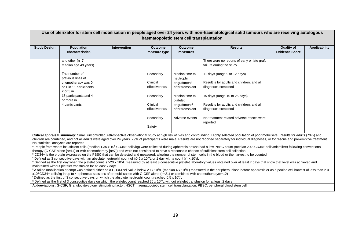|                                                                                                                                                                                                                                                                                                                                                                                                                                                                                                                                                                                                                                                                                                                                                                                                                                                                                                                                                                                                                                                                                                                                                                                                                                                                                                                                                                                                                                                                                                                           | Use of plerixafor for stem cell mobilisation in people aged over 24 years with non-haematological solid tumours who are receiving autologous<br>haematopoietic stem cell transplantation |                                                                                                                                                                                                                                                                                                                       |                                |                                              |                                                                                                                                                                                                                                                                                                                                                                                                                  |                                            |                      |  |  |
|---------------------------------------------------------------------------------------------------------------------------------------------------------------------------------------------------------------------------------------------------------------------------------------------------------------------------------------------------------------------------------------------------------------------------------------------------------------------------------------------------------------------------------------------------------------------------------------------------------------------------------------------------------------------------------------------------------------------------------------------------------------------------------------------------------------------------------------------------------------------------------------------------------------------------------------------------------------------------------------------------------------------------------------------------------------------------------------------------------------------------------------------------------------------------------------------------------------------------------------------------------------------------------------------------------------------------------------------------------------------------------------------------------------------------------------------------------------------------------------------------------------------------|------------------------------------------------------------------------------------------------------------------------------------------------------------------------------------------|-----------------------------------------------------------------------------------------------------------------------------------------------------------------------------------------------------------------------------------------------------------------------------------------------------------------------|--------------------------------|----------------------------------------------|------------------------------------------------------------------------------------------------------------------------------------------------------------------------------------------------------------------------------------------------------------------------------------------------------------------------------------------------------------------------------------------------------------------|--------------------------------------------|----------------------|--|--|
|                                                                                                                                                                                                                                                                                                                                                                                                                                                                                                                                                                                                                                                                                                                                                                                                                                                                                                                                                                                                                                                                                                                                                                                                                                                                                                                                                                                                                                                                                                                           |                                                                                                                                                                                          |                                                                                                                                                                                                                                                                                                                       |                                |                                              |                                                                                                                                                                                                                                                                                                                                                                                                                  |                                            |                      |  |  |
| <b>Study Design</b>                                                                                                                                                                                                                                                                                                                                                                                                                                                                                                                                                                                                                                                                                                                                                                                                                                                                                                                                                                                                                                                                                                                                                                                                                                                                                                                                                                                                                                                                                                       | Population<br>characteristics                                                                                                                                                            | <b>Intervention</b>                                                                                                                                                                                                                                                                                                   | <b>Outcome</b><br>measure type | <b>Outcome</b><br>measures                   | <b>Results</b>                                                                                                                                                                                                                                                                                                                                                                                                   | <b>Quality of</b><br><b>Evidence Score</b> | <b>Applicability</b> |  |  |
|                                                                                                                                                                                                                                                                                                                                                                                                                                                                                                                                                                                                                                                                                                                                                                                                                                                                                                                                                                                                                                                                                                                                                                                                                                                                                                                                                                                                                                                                                                                           | and other $(n=7,$<br>median age 49 years)                                                                                                                                                |                                                                                                                                                                                                                                                                                                                       |                                |                                              | There were no reports of early or late graft<br>failure during the study.                                                                                                                                                                                                                                                                                                                                        |                                            |                      |  |  |
|                                                                                                                                                                                                                                                                                                                                                                                                                                                                                                                                                                                                                                                                                                                                                                                                                                                                                                                                                                                                                                                                                                                                                                                                                                                                                                                                                                                                                                                                                                                           | The number of<br>previous lines of                                                                                                                                                       |                                                                                                                                                                                                                                                                                                                       | Secondary                      | Median time to<br>neutrophil                 | 11 days (range 9 to 12 days)                                                                                                                                                                                                                                                                                                                                                                                     |                                            |                      |  |  |
|                                                                                                                                                                                                                                                                                                                                                                                                                                                                                                                                                                                                                                                                                                                                                                                                                                                                                                                                                                                                                                                                                                                                                                                                                                                                                                                                                                                                                                                                                                                           | chemotherapy was 0<br>or 1 in 11 participants,<br>$2$ or $3$ in                                                                                                                          |                                                                                                                                                                                                                                                                                                                       | Clinical<br>effectiveness      | engraftment <sup>f</sup><br>after transplant | Result is for adults and children, and all<br>diagnoses combined                                                                                                                                                                                                                                                                                                                                                 |                                            |                      |  |  |
|                                                                                                                                                                                                                                                                                                                                                                                                                                                                                                                                                                                                                                                                                                                                                                                                                                                                                                                                                                                                                                                                                                                                                                                                                                                                                                                                                                                                                                                                                                                           | 18 participants and 4<br>or more in<br>4 participants                                                                                                                                    |                                                                                                                                                                                                                                                                                                                       | Secondary<br>Clinical          | Median time to<br>platelet                   | 15 days (range 10 to 25 days)<br>Result is for adults and children, and all                                                                                                                                                                                                                                                                                                                                      |                                            |                      |  |  |
|                                                                                                                                                                                                                                                                                                                                                                                                                                                                                                                                                                                                                                                                                                                                                                                                                                                                                                                                                                                                                                                                                                                                                                                                                                                                                                                                                                                                                                                                                                                           |                                                                                                                                                                                          |                                                                                                                                                                                                                                                                                                                       | effectiveness                  | engraftment <sup>9</sup><br>after transplant | diagnoses combined                                                                                                                                                                                                                                                                                                                                                                                               |                                            |                      |  |  |
|                                                                                                                                                                                                                                                                                                                                                                                                                                                                                                                                                                                                                                                                                                                                                                                                                                                                                                                                                                                                                                                                                                                                                                                                                                                                                                                                                                                                                                                                                                                           |                                                                                                                                                                                          |                                                                                                                                                                                                                                                                                                                       | Secondary<br>Safety            | Adverse events                               | No treatment-related adverse effects were<br>reported                                                                                                                                                                                                                                                                                                                                                            |                                            |                      |  |  |
|                                                                                                                                                                                                                                                                                                                                                                                                                                                                                                                                                                                                                                                                                                                                                                                                                                                                                                                                                                                                                                                                                                                                                                                                                                                                                                                                                                                                                                                                                                                           |                                                                                                                                                                                          |                                                                                                                                                                                                                                                                                                                       |                                |                                              |                                                                                                                                                                                                                                                                                                                                                                                                                  |                                            |                      |  |  |
| No statistical analyses are reported                                                                                                                                                                                                                                                                                                                                                                                                                                                                                                                                                                                                                                                                                                                                                                                                                                                                                                                                                                                                                                                                                                                                                                                                                                                                                                                                                                                                                                                                                      |                                                                                                                                                                                          |                                                                                                                                                                                                                                                                                                                       |                                |                                              | Critical appraisal summary: Small, uncontrolled, retrospective observational study at high risk of bias and confounding. Highly selected population of poor mobilisers. Results for adults (73%) and<br>children are combined, and not all adults were aged over 24 years. 79% of participants were male. Results are not reported separately for individual diagnoses, or for rescue and pre-emptive treatment. |                                            |                      |  |  |
| a People from whom insufficient cells (median 1.35 x 10 <sup>6</sup> CD34+ cells/kg) were collected during apheresis or who had a low PBSC count (median 2.43 CD34+ cells/microlitre) following conventional<br>therapy (G-CSF alone [n=14] or with chemotherapy [n=7]) and were not considered to have a reasonable chance of sufficient stem cell collection<br><sup>b</sup> CD34+ is the protein expressed on the PBSC that can be detected and measured, allowing the number of stem cells in the blood or the harvest to be counted<br>$\textdegree$ Defined as 3 consecutive days with an absolute neutrophil count of ≥0.5 x 10 <sup>9</sup> /L or 1 day with a count ≥1 x 10 <sup>9</sup> /L<br>d Defined as the first day when the platelet count is >20 x 10 <sup>9</sup> /L measured by at least 3 consecutive platelet laboratory values obtained over at least 7 days that show that level was achieved and<br>maintained without platelet transfusion for at least 7 days<br><sup>e</sup> A failed mobilisation attempt was defined either as a CD34+cell value below 20 x 10 <sup>6</sup> /L (median 4 x 10 <sup>6</sup> /L) measured in the peripheral blood before apheresis or as a pooled cell harvest of less than 2.0<br>x10 <sup>6</sup> CD34+ cells/kg in up to 4 apheresis sessions after mobilisation with G-CSF alone (n=21) or combined with chemotherapy(n=12)<br>$\rm ^f$ Defined as the first of 3 consecutive days on which the absolute neutrophil count reached 0.5 x 10 <sup>9</sup> /L |                                                                                                                                                                                          |                                                                                                                                                                                                                                                                                                                       |                                |                                              |                                                                                                                                                                                                                                                                                                                                                                                                                  |                                            |                      |  |  |
|                                                                                                                                                                                                                                                                                                                                                                                                                                                                                                                                                                                                                                                                                                                                                                                                                                                                                                                                                                                                                                                                                                                                                                                                                                                                                                                                                                                                                                                                                                                           |                                                                                                                                                                                          | <sup>9</sup> Defined as the first of 3 consecutive days on which the platelet count reached 20 x 10 <sup>9</sup> /L without platelet transfusion for at least 2 days<br>Abbreviations: G-CSF; Granulocyte-colony stimulating factor: HSCT; haematopoietic stem cell transplantation: PBSC; peripheral blood stem cell |                                |                                              |                                                                                                                                                                                                                                                                                                                                                                                                                  |                                            |                      |  |  |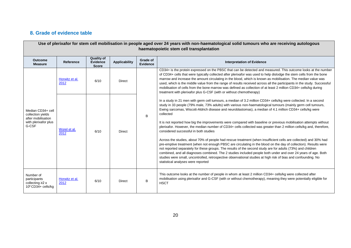# **8. Grade of evidence table**

<span id="page-19-0"></span>

|                                                                                               | Use of plerixafor for stem cell mobilisation in people aged over 24 years with non-haematological solid tumours who are receiving autologous<br>haematopoietic stem cell transplantation |                                                      |                      |                                    |                                                                                                                                                                                                                                                                                                                                                                                                                                                                                                                                                                                                                                                                                                                                                                                                                                                                                                                                                                                                                                                                                                                                                                                                                                                                               |  |  |  |  |  |                                                                                                                                                                                                                                                                                                                                                                                                                                                                                                                                                                                                                                                                               |
|-----------------------------------------------------------------------------------------------|------------------------------------------------------------------------------------------------------------------------------------------------------------------------------------------|------------------------------------------------------|----------------------|------------------------------------|-------------------------------------------------------------------------------------------------------------------------------------------------------------------------------------------------------------------------------------------------------------------------------------------------------------------------------------------------------------------------------------------------------------------------------------------------------------------------------------------------------------------------------------------------------------------------------------------------------------------------------------------------------------------------------------------------------------------------------------------------------------------------------------------------------------------------------------------------------------------------------------------------------------------------------------------------------------------------------------------------------------------------------------------------------------------------------------------------------------------------------------------------------------------------------------------------------------------------------------------------------------------------------|--|--|--|--|--|-------------------------------------------------------------------------------------------------------------------------------------------------------------------------------------------------------------------------------------------------------------------------------------------------------------------------------------------------------------------------------------------------------------------------------------------------------------------------------------------------------------------------------------------------------------------------------------------------------------------------------------------------------------------------------|
| <b>Outcome</b><br><b>Measure</b>                                                              | Reference                                                                                                                                                                                | <b>Quality of</b><br><b>Evidence</b><br><b>Score</b> | <b>Applicability</b> | <b>Grade of</b><br><b>Evidence</b> | <b>Interpretation of Evidence</b>                                                                                                                                                                                                                                                                                                                                                                                                                                                                                                                                                                                                                                                                                                                                                                                                                                                                                                                                                                                                                                                                                                                                                                                                                                             |  |  |  |  |  |                                                                                                                                                                                                                                                                                                                                                                                                                                                                                                                                                                                                                                                                               |
|                                                                                               | Horwitz et al.<br>2012                                                                                                                                                                   | 6/10                                                 | <b>Direct</b>        |                                    |                                                                                                                                                                                                                                                                                                                                                                                                                                                                                                                                                                                                                                                                                                                                                                                                                                                                                                                                                                                                                                                                                                                                                                                                                                                                               |  |  |  |  |  | CD34+ is the protein expressed on the PBSC that can be detected and measured. This outcome looks at the number<br>of CD34+ cells that were typically collected after plerixafor was used to help dislodge the stem cells from the bone<br>marrow and increase the amount circulating in the blood, which is known as mobilisation. The median value was<br>used, which is the middle value from the range of results received across all the participants in the study. Successful<br>mobilisation of cells from the bone marrow was defined as collection of at least 2 million CD34+ cells/kg during<br>treatment with plerixafor plus G-CSF (with or without chemotherapy) |
| Median CD34+ cell<br>collection yields<br>after mobilisation<br>with plerixafor plus<br>G-CSF | Worel et al.<br>2012                                                                                                                                                                     | 6/10                                                 | <b>Direct</b>        | B                                  | In a study in 21 men with germ cell tumours, a median of 3.2 million CD34+ cells/kg were collected. In a second<br>study in 33 people (79% male, 73% adults) with various non-haematological tumours (mainly germ cell tumours,<br>Ewing sarcomas, Wiscott-Aldrich disease and neuroblastomas), a median of 4.1 million CD34+ cells/kg were<br>collected<br>It is not reported how big the improvements were compared with baseline or previous mobilisation attempts without<br>plerixafor. However, the median number of CD34+ cells collected was greater than 2 million cells/kg and, therefore,<br>considered successful in both studies<br>Across the studies, about 70% of people had rescue treatment (when insufficient cells are collected) and 30% had<br>pre-emptive treatment (when not enough PBSC are circulating in the blood on the day of collection). Results were<br>not reported separately for these groups. The results of the second study are for adults (73%) and children<br>combined, and all diagnoses combined. The 2 studies included people both under and over 24 years of age. Both<br>studies were small, uncontrolled, retrospective observational studies at high risk of bias and confounding. No<br>statistical analyses were reported |  |  |  |  |  |                                                                                                                                                                                                                                                                                                                                                                                                                                                                                                                                                                                                                                                                               |
| Number of<br>participants<br>collecting $\geq$ x<br>$10^6$ CD34+ cells/kg                     | Horwitz et al.<br>2012                                                                                                                                                                   | 6/10                                                 | <b>Direct</b>        | B                                  | This outcome looks at the number of people in whom at least 2 million CD34+ cells/kg were collected after<br>mobilisation using plerixafor and G-CSF (with or without chemotherapy), meaning they were potentially eligible for<br><b>HSCT</b>                                                                                                                                                                                                                                                                                                                                                                                                                                                                                                                                                                                                                                                                                                                                                                                                                                                                                                                                                                                                                                |  |  |  |  |  |                                                                                                                                                                                                                                                                                                                                                                                                                                                                                                                                                                                                                                                                               |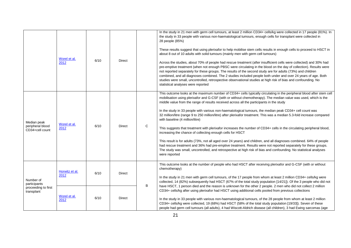|                                                                | Worel et al.<br>2012   | 6/10 | <b>Direct</b> |   | In the study in 21 men with germ cell tumours, at least 2 million CD34+ cells/kg were collected in 17 people (81%). In<br>the study in 33 people with various non-haematological tumours, enough cells for transplant were collected in<br>28 people (85%)<br>These results suggest that using plerixafor to help mobilise stem cells results in enough cells to proceed to HSCT in<br>about 8 out of 10 adults with solid tumours (mainly men with germ cell tumours)<br>Across the studies, about 70% of people had rescue treatment (after insufficient cells were collected) and 30% had<br>pre-emptive treatment (when not enough PBSC were circulating in the blood on the day of collection). Results were<br>not reported separately for these groups. The results of the second study are for adults (73%) and children<br>combined, and all diagnoses combined. The 2 studies included people both under and over 24 years of age. Both<br>studies were small, uncontrolled, retrospective observational studies at high risk of bias and confounding. No<br>statistical analyses were reported                                                                            |
|----------------------------------------------------------------|------------------------|------|---------------|---|--------------------------------------------------------------------------------------------------------------------------------------------------------------------------------------------------------------------------------------------------------------------------------------------------------------------------------------------------------------------------------------------------------------------------------------------------------------------------------------------------------------------------------------------------------------------------------------------------------------------------------------------------------------------------------------------------------------------------------------------------------------------------------------------------------------------------------------------------------------------------------------------------------------------------------------------------------------------------------------------------------------------------------------------------------------------------------------------------------------------------------------------------------------------------------------|
| Median peak<br>peripheral blood<br>CD34+cell count             | Worel et al.<br>2012   | 6/10 | <b>Direct</b> | C | This outcome looks at the maximum number of CD34+ cells typically circulating in the peripheral blood after stem cell<br>mobilisation using plerixafor and G-CSF (with or without chemotherapy). The median value was used, which is the<br>middle value from the range of results received across all the participants in the study<br>In the study in 33 people with various non-haematological tumours, the median peak CD34+ cell count was<br>32 million/litre (range 9 to 250 million/litre) after plerixafor treatment. This was a median 5.3-fold increase compared<br>with baseline (4 million/litre)<br>This suggests that treatment with plerixafor increases the number of CD34+ cells in the circulating peripheral blood,<br>increasing the chance of collecting enough cells for HSCT<br>This result is for adults (73%, not all aged over 24 years) and children, and all diagnoses combined. 64% of people<br>had rescue treatment and 36% had pre-emptive treatment. Results were not reported separately for these groups.<br>The study was small, uncontrolled, and retrospective at high risk of bias and confounding. No statistical analyses<br>were reported |
| Number of<br>participants<br>proceeding to first<br>transplant | Horwitz et al.<br>2012 | 6/10 | Direct        |   | This outcome looks at the number of people who had HSCT after receiving plerixafor and G-CSF (with or without<br>chemotherapy)<br>In the study in 21 men with germ cell tumours, of the 17 people from whom at least 2 million CD34+ cells/kg were<br>collected, 14 (82%) subsequently had HSCT (67% of the total study population [14/21]). Of the 3 people who did not                                                                                                                                                                                                                                                                                                                                                                                                                                                                                                                                                                                                                                                                                                                                                                                                             |
|                                                                | Worel et al.<br>2012   | 6/10 | <b>Direct</b> | B | have HSCT, 1 person died and the reason is unknown for the other 2 people. 2 men who did not collect 2 million<br>CD34+ cells/kg after using plerixafor had HSCT using additional cells pooled from previous collections<br>In the study in 33 people with various non-haematological tumours, of the 28 people from whom at least 2 million<br>CD34+ cells/kg were collected, 19 (68%) had HSCT (58% of the total study population [19/33]). Seven of these<br>people had germ cell tumours (all adults), 4 had Wiscott-Aldrich disease (all children), 3 had Ewing sarcomas (age                                                                                                                                                                                                                                                                                                                                                                                                                                                                                                                                                                                                   |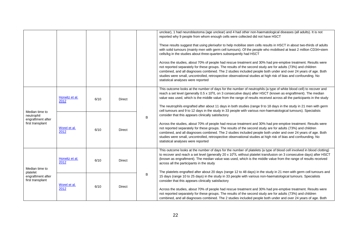|                                                                                               |                        |      |               |   | unclear), 1 had neuroblastoma (age unclear) and 4 had other non-haematological diseases (all adults). It is not<br>reported why 9 people from whom enough cells were collected did not have HSCT                                                                                                                                                                                                                                                                                                                                                                                                                                          |
|-----------------------------------------------------------------------------------------------|------------------------|------|---------------|---|-------------------------------------------------------------------------------------------------------------------------------------------------------------------------------------------------------------------------------------------------------------------------------------------------------------------------------------------------------------------------------------------------------------------------------------------------------------------------------------------------------------------------------------------------------------------------------------------------------------------------------------------|
|                                                                                               |                        |      |               |   | These results suggest that using plerixafor to help mobilise stem cells results in HSCT in about two-thirds of adults<br>with solid tumours (mainly men with germ cell tumours). Of the people who mobilised at least 2 million CD34+stem<br>cells/kg in the studies about three-quarters subsequently had HSCT                                                                                                                                                                                                                                                                                                                           |
|                                                                                               |                        |      |               |   | Across the studies, about 70% of people had rescue treatment and 30% had pre-emptive treatment. Results were<br>not reported separately for these groups. The results of the second study are for adults (73%) and children<br>combined, and all diagnoses combined. The 2 studies included people both under and over 24 years of age. Both<br>studies were small, uncontrolled, retrospective observational studies at high risk of bias and confounding. No<br>statistical analyses were reported                                                                                                                                      |
|                                                                                               | Horwitz et al.<br>2012 | 6/10 | <b>Direct</b> |   | This outcome looks at the number of days for the number of neutrophils (a type of white blood cell) to recover and<br>reach a set level (generally 0.5 x 10 <sup>9</sup> /L on 3 consecutive days) after HSCT (known as engraftment). The median<br>value was used, which is the middle value from the range of results received across all the participants in the study<br>The neutrophils engrafted after about 11 days in both studies (range 9 to 18 days in the study in 21 men with germ                                                                                                                                           |
| Median time to<br>neutrophil<br>engraftment after<br>first transplant<br>Worel et al.<br>2012 |                        |      |               |   | cell tumours and 9 to 12 days in the study in 33 people with various non-haematological tumours). Specialists<br>consider that this appears clinically satisfactory                                                                                                                                                                                                                                                                                                                                                                                                                                                                       |
|                                                                                               |                        | 6/10 | <b>Direct</b> | B | Across the studies, about 70% of people had rescue treatment and 30% had pre-emptive treatment. Results were<br>not reported separately for these groups. The results of the second study are for adults (73%) and children<br>combined, and all diagnoses combined. The 2 studies included people both under and over 24 years of age. Both<br>studies were small, uncontrolled, retrospective observational studies at high risk of bias and confounding. No<br>statistical analyses were reported                                                                                                                                      |
| Median time to<br>platelet<br>engraftment after<br>first transplant                           | Horwitz et al.<br>2012 | 6/10 | Direct        |   | This outcome looks at the number of days for the number of platelets (a type of blood cell involved in blood clotting)<br>to recover and reach a set level (generally 20 x $10^9$ /L without platelet transfusion on 3 consecutive days) after HSCT<br>(known as engraftment). The median value was used, which is the middle value from the range of results received<br>across all the participants in the study                                                                                                                                                                                                                        |
|                                                                                               | Worel et al.<br>2012   | 6/10 | <b>Direct</b> | B | The platelets engrafted after about 20 days (range 12 to 48 days) in the study in 21 men with germ cell tumours and<br>15 days (range 10 to 25 days) in the study in 33 people with various non-haematological tumours. Specialists<br>consider that this appears clinically satisfactory<br>Across the studies, about 70% of people had rescue treatment and 30% had pre-emptive treatment. Results were<br>not reported separately for these groups. The results of the second study are for adults (73%) and children<br>combined, and all diagnoses combined. The 2 studies included people both under and over 24 years of age. Both |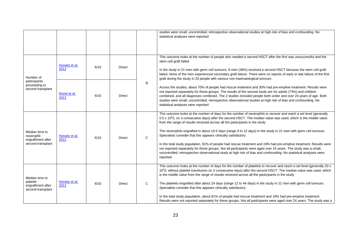|                                                                      |                        |      |               |              | studies were small, uncontrolled, retrospective observational studies at high risk of bias and confounding. No<br>statistical analyses were reported                                                                                                                                                                                                                                                                                                                                                 |
|----------------------------------------------------------------------|------------------------|------|---------------|--------------|------------------------------------------------------------------------------------------------------------------------------------------------------------------------------------------------------------------------------------------------------------------------------------------------------------------------------------------------------------------------------------------------------------------------------------------------------------------------------------------------------|
|                                                                      |                        |      |               |              |                                                                                                                                                                                                                                                                                                                                                                                                                                                                                                      |
|                                                                      |                        |      |               |              |                                                                                                                                                                                                                                                                                                                                                                                                                                                                                                      |
|                                                                      | Horwitz et al.<br>2012 | 6/10 | <b>Direct</b> |              | This outcome looks at the number of people who needed a second HSCT after the first was unsuccessful and the<br>stem cell graft failed<br>In the study in 21 men with germ cell tumours, 8 men (38%) received a second HSCT because the stem cell graft                                                                                                                                                                                                                                              |
| Number of                                                            |                        |      |               |              | failed. None of the men experienced secondary graft failure. There were no reports of early or late failure of the first<br>graft during the study in 33 people with various non-haematological tumours                                                                                                                                                                                                                                                                                              |
| participants<br>proceeding to<br>second transplant                   | Worel et al.<br>2012   | 6/10 | <b>Direct</b> | B            | Across the studies, about 70% of people had rescue treatment and 30% had pre-emptive treatment. Results were<br>not reported separately for these groups. The results of the second study are for adults (73%) and children<br>combined, and all diagnoses combined. The 2 studies included people both under and over 24 years of age. Both<br>studies were small, uncontrolled, retrospective observational studies at high risk of bias and confounding. No<br>statistical analyses were reported |
|                                                                      | Horwitz et al.<br>2012 |      | <b>Direct</b> | $\mathsf{C}$ | This outcome looks at the number of days for the number of neutrophils to recover and reach a set level (generally<br>0.5 x 10 <sup>9</sup> /L on 3 consecutive days) after the second HSCT. The median value was used, which is the middle value<br>from the range of results received across all the participants in the study                                                                                                                                                                     |
| Median time to<br>neutrophil                                         |                        | 6/10 |               |              | The neutrophils engrafted in about 10.5 days (range 9 to 12 days) in the study in 21 men with germ cell tumours.<br>Specialists consider that this appears clinically satisfactory                                                                                                                                                                                                                                                                                                                   |
| engraftment after<br>second transplant                               |                        |      |               |              | In the total study population, 81% of people had rescue treatment and 19% had pre-emptive treatment. Results were<br>not reported separately for these groups. Not all participants were aged over 24 years. The study was a small,<br>uncontrolled, retrospective observational study at high risk of bias and confounding. No statistical analyses were<br>reported                                                                                                                                |
| Median time to<br>platelet<br>engraftment after<br>second transplant |                        |      |               |              | This outcome looks at the number of days for the number of platelets to recover and reach a set level (generally 20 x<br>10 <sup>9</sup> /L without platelet transfusion on 3 consecutive days) after the second HSCT. The median value was used, which<br>is the middle value from the range of results received across all the participants in the study                                                                                                                                           |
|                                                                      | Horwitz et al.<br>2012 | 6/10 | <b>Direct</b> | $\mathsf{C}$ | The platelets engrafted after about 24 days (range 12 to 44 days) in the study in 21 men with germ cell tumours.<br>Specialists consider that this appears clinically satisfactory                                                                                                                                                                                                                                                                                                                   |
|                                                                      |                        |      |               |              | In the total study population, about 81% of people had rescue treatment and 19% had pre-emptive treatment.<br>Results were not reported separately for these groups. Not all participants were aged over 24 years. The study was a                                                                                                                                                                                                                                                                   |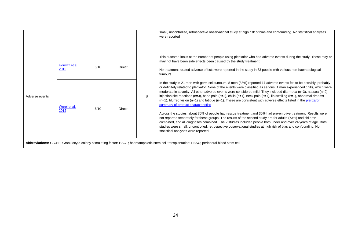|                |                        |      |               |   | small, uncontrolled, retrospective observational study at high risk of bias and confounding. No statistical analyses<br>were reported                                                                                                                                                                                                                                                                                                                                                                                                                                                                                                                                                                                                                                                                                                                                                                                                                                                                                                                                                                                                                                  |
|----------------|------------------------|------|---------------|---|------------------------------------------------------------------------------------------------------------------------------------------------------------------------------------------------------------------------------------------------------------------------------------------------------------------------------------------------------------------------------------------------------------------------------------------------------------------------------------------------------------------------------------------------------------------------------------------------------------------------------------------------------------------------------------------------------------------------------------------------------------------------------------------------------------------------------------------------------------------------------------------------------------------------------------------------------------------------------------------------------------------------------------------------------------------------------------------------------------------------------------------------------------------------|
|                | Horwitz et al.<br>2012 | 6/10 | <b>Direct</b> |   | This outcome looks at the number of people using plerixafor who had adverse events during the study. These may or<br>may not have been side effects been caused by the study treatment<br>No treatment-related adverse effects were reported in the study in 33 people with various non-haematological<br>tumours.                                                                                                                                                                                                                                                                                                                                                                                                                                                                                                                                                                                                                                                                                                                                                                                                                                                     |
| Adverse events | Worel et al.<br>2012   | 6/10 | <b>Direct</b> | B | In the study in 21 men with germ cell tumours, 8 men (38%) reported 17 adverse events felt to be possibly, probably<br>or definitely related to plerixafor. None of the events were classified as serious. 1 man experienced chills, which were<br>moderate in severity. All other adverse events were considered mild. They included diarrhoea (n=3), nausea (n=2),<br>injection site reactions (n=3), bone pain (n=2), chills (n=1), neck pain (n=1), lip swelling (n=1), abnormal dreams<br>$(n=1)$ , blurred vision $(n=1)$ and fatigue $(n=1)$ . These are consistent with adverse effects listed in the plerixafor<br>summary of product characteristics<br>Across the studies, about 70% of people had rescue treatment and 30% had pre-emptive treatment. Results were<br>not reported separately for these groups. The results of the second study are for adults (73%) and children<br>combined, and all diagnoses combined. The 2 studies included people both under and over 24 years of age. Both<br>studies were small, uncontrolled, retrospective observational studies at high risk of bias and confounding. No<br>statistical analyses were reported |
|                |                        |      |               |   | Abbreviations: G-CSF; Granulocyte-colony stimulating factor: HSCT; haematopoietic stem cell transplantation: PBSC; peripheral blood stem cell                                                                                                                                                                                                                                                                                                                                                                                                                                                                                                                                                                                                                                                                                                                                                                                                                                                                                                                                                                                                                          |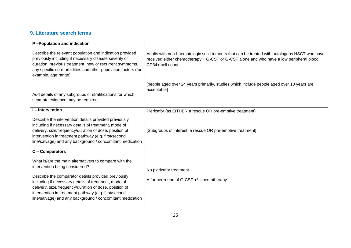# **9. Literature search terms**

<span id="page-24-0"></span>

| P-Population and indication                                                                                                                                                                                                                                                                                                                                                            |                                                                                                                                                                                                             |
|----------------------------------------------------------------------------------------------------------------------------------------------------------------------------------------------------------------------------------------------------------------------------------------------------------------------------------------------------------------------------------------|-------------------------------------------------------------------------------------------------------------------------------------------------------------------------------------------------------------|
| Describe the relevant population and indication provided<br>previously including if necessary disease severity or<br>duration, previous treatment, new or recurrent symptoms,<br>any specific co-morbidities and other population factors (for<br>example, age range).                                                                                                                 | Adults with non-haematologic solid tumours that can be treated with autologous HSCT who have<br>received either chemotherapy + G-CSF or G-CSF alone and who have a low peripheral blood<br>CD34+ cell count |
| Add details of any subgroups or stratifications for which<br>separate evidence may be required.                                                                                                                                                                                                                                                                                        | [people aged over 24 years primarily, studies which include people aged over 18 years are<br>acceptable]                                                                                                    |
| I-Intervention                                                                                                                                                                                                                                                                                                                                                                         | Plerixafor (as EITHER a rescue OR pre-emptive treatment)                                                                                                                                                    |
| Describe the intervention details provided previously<br>including if necessary details of treatment, mode of<br>delivery, size/frequency/duration of dose, position of<br>intervention in treatment pathway (e.g. first/second<br>line/salvage) and any background / concomitant medication                                                                                           | [Subgroups of interest: a rescue OR pre-emptive treatment]                                                                                                                                                  |
| C - Comparators                                                                                                                                                                                                                                                                                                                                                                        |                                                                                                                                                                                                             |
| What is/are the main alternative/s to compare with the<br>intervention being considered?<br>Describe the comparator details provided previously<br>including if necessary details of treatment, mode of<br>delivery, size/frequency/duration of dose, position of<br>intervention in treatment pathway (e.g. first/second<br>line/salvage) and any background / concomitant medication | No plerixafor treatment<br>A further round of G-CSF +/- chemotherapy                                                                                                                                        |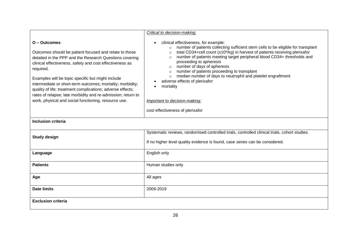|                                                                                                                                                                                                                                                                                                                                                                                                                                                                                                                     | Critical to decision-making:                                                                                                                                                                                                                                                                                                                                                                                                                                                                                                                                                                                                                                                |
|---------------------------------------------------------------------------------------------------------------------------------------------------------------------------------------------------------------------------------------------------------------------------------------------------------------------------------------------------------------------------------------------------------------------------------------------------------------------------------------------------------------------|-----------------------------------------------------------------------------------------------------------------------------------------------------------------------------------------------------------------------------------------------------------------------------------------------------------------------------------------------------------------------------------------------------------------------------------------------------------------------------------------------------------------------------------------------------------------------------------------------------------------------------------------------------------------------------|
| O - Outcomes<br>Outcomes should be patient focused and relate to those<br>detailed in the PPP and the Research Questions covering<br>clinical effectiveness, safety and cost effectiveness as<br>required.<br>Examples will be topic specific but might include<br>intermediate or short-term outcomes; mortality; morbidity;<br>quality of life; treatment complications; adverse effects;<br>rates of relapse; late morbidity and re-admission; return to<br>work, physical and social functioning, resource use. | clinical effectiveness, for example:<br>$\bullet$<br>number of patients collecting sufficient stem cells to be eligible for transplant<br>$\circ$<br>total CD34+cell count (x10 <sup>6</sup> /kg) in harvest of patients receiving plerixafor<br>$\circ$<br>number of patients meeting target peripheral blood CD34+ thresholds and<br>$\circ$<br>proceeding to apheresis<br>number of days of apheresis<br>$\circ$<br>number of patients proceeding to transplant<br>$\circ$<br>median number of days to neutrophil and platelet engraftment<br>$\circ$<br>adverse effects of plerixafor<br>mortality<br>Important to decision-making:<br>cost effectiveness of plerixafor |
| <b>Inclusion criteria</b>                                                                                                                                                                                                                                                                                                                                                                                                                                                                                           |                                                                                                                                                                                                                                                                                                                                                                                                                                                                                                                                                                                                                                                                             |
| <b>Study design</b>                                                                                                                                                                                                                                                                                                                                                                                                                                                                                                 | Systematic reviews, randomised controlled trials, controlled clinical trials, cohort studies.<br>If no higher level quality evidence is found, case series can be considered.                                                                                                                                                                                                                                                                                                                                                                                                                                                                                               |
| Language                                                                                                                                                                                                                                                                                                                                                                                                                                                                                                            | English only                                                                                                                                                                                                                                                                                                                                                                                                                                                                                                                                                                                                                                                                |
| <b>Patients</b>                                                                                                                                                                                                                                                                                                                                                                                                                                                                                                     | Human studies only                                                                                                                                                                                                                                                                                                                                                                                                                                                                                                                                                                                                                                                          |
| Age                                                                                                                                                                                                                                                                                                                                                                                                                                                                                                                 | All ages                                                                                                                                                                                                                                                                                                                                                                                                                                                                                                                                                                                                                                                                    |
| <b>Date limits</b>                                                                                                                                                                                                                                                                                                                                                                                                                                                                                                  | 2009-2019                                                                                                                                                                                                                                                                                                                                                                                                                                                                                                                                                                                                                                                                   |
| <b>Exclusion criteria</b>                                                                                                                                                                                                                                                                                                                                                                                                                                                                                           |                                                                                                                                                                                                                                                                                                                                                                                                                                                                                                                                                                                                                                                                             |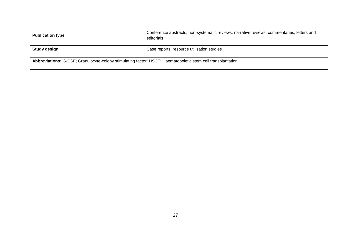| <b>Publication type</b>                                                                                     | Conference abstracts, non-systematic reviews, narrative reviews, commentaries, letters and<br>editorials |  |
|-------------------------------------------------------------------------------------------------------------|----------------------------------------------------------------------------------------------------------|--|
| Study design                                                                                                | Case reports, resource utilisation studies                                                               |  |
| Abbreviations: G-CSF; Granulocyte-colony stimulating factor: HSCT; Haematopoietic stem cell transplantation |                                                                                                          |  |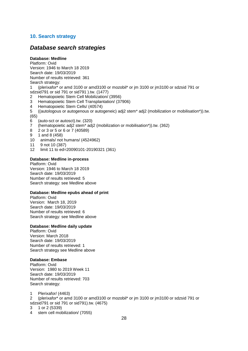#### <span id="page-27-0"></span>**10. Search strategy**

### *Database search strategies*

#### **Database: Medline**

Platform: Ovid Version: 1946 to March 18 2019 Search date: 19/03/2019 Number of results retrieved: 361 Search strategy:

1 (plerixafor\* or amd 3100 or amd3100 or mozobil\* or jm 3100 or jm3100 or sdzsid 791 or sdzsid791 or sid 791 or sid791 ).tw. (1477)

- 2 Hematopoietic Stem Cell Mobilization/ (3956)
- 3 Hematopoietic Stem Cell Transplantation/ (37906)
- 4 Hematopoietic Stem Cells/ (40574)

5 ((autologous or autogenous or autogeneic) adj2 stem\* adj2 (mobilization or mobilisation\*)).tw. (65)

- 6 (auto-sct or autosct).tw. (320)
- 7 (hematopoietic adj2 stem\* adj2 (mobilization or mobilisation\*)).tw. (362)
- 8 2 or 3 or 5 or 6 or 7 (40589)
- 9 1 and 8 (458)
- 10 animals/ not humans/ (4524962)
- 11 9 not 10 (387)
- 12 limit 11 to ed=20090101-20190321 (361)

#### **Database: Medline in-process**

Platform: Ovid Version: 1946 to March 18 2019 Search date: 19/03/2019 Number of results retrieved: 5 Search strategy: see Medline above

#### **Database: Medline epubs ahead of print**

Platform: Ovid Version: March 18, 2019 Search date: 19/03/2019 Number of results retrieved: 6 Search strategy: see Medline above

#### **Database: Medline daily update**

Platform: Ovid Version: March 2018 Search date: 19/03/2019 Number of results retrieved: 1 Search strategy see Medline above

#### **Database: Embase**

Platform: Ovid Version: 1980 to 2019 Week 11 Search date: 19/03/2019 Number of results retrieved: 703 Search strategy:

1 Plerixafor/ (4463)

2 (plerixafor\* or amd 3100 or amd3100 or mozobil\* or jm 3100 or jm3100 or sdzsid 791 or sdzsid791 or sid 791 or sid791).tw. (4675)

- 3 1 or 2 (5339)
- 4 stem cell mobilization/ (7055)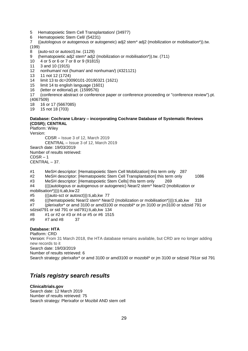- 5 Hematopoietic Stem Cell Transplantation/ (34977)
- 6 Hematopoietic Stem Cell/ (54231)

7 ((autologous or autogenous or autogeneic) adj2 stem\* adj2 (mobilization or mobilisation\*)).tw. (199)

- 8 (auto-sct or autosct).tw. (1129)
- 9 (hematopoietic adj2 stem\* adj2 (mobilization or mobilisation\*)).tw. (711)
- 10 4 or 5 or 6 or 7 or 8 or 9 (91815)
- 11 3 and 10 (1915)
- 12 nonhuman/ not (human/ and nonhuman/) (4321121)
- 13 11 not 12 (1724)
- 14 limit 13 to dc=20090101-20190321 (1621)
- 15 limit 14 to english language (1601)
- 16 (letter or editorial).pt. (1599576)
- 17 (conference abstract or conference paper or conference proceeding or "conference review").pt. (4067509)
- 18 16 or 17 (5667085)
- 19 15 not 18 (703)

#### **Database: Cochrane Library – incorporating Cochrane Database of Systematic Reviews (CDSR); CENTRAL**

Platform: Wiley

Version:

CDSR – Issue 3 of 12, March 2019 CENTRAL – Issue 3 of 12, March 2019 Search date: 19/03/2019 Number of results retrieved: CDSR – 1 CENTRAL – 37.

#1 MeSH descriptor: [Hematopoietic Stem Cell Mobilization] this term only 287

- #2 MeSH descriptor: [Hematopoietic Stem Cell Transplantation] this term only 1086
- #3 MeSH descriptor: [Hematopoietic Stem Cells] this term only 269

#4 ((((autologous or autogenous or autogeneic) Near/2 stem\* Near/2 (mobilization or mobilisation\*)))):ti,ab,kw 22

- #5 (((auto-sct or autosct))):ti,ab,kw 77
- #6 (((hematopoietic Near/2 stem\* Near/2 (mobilization or mobilisation\*)))):ti,ab,kw 318

#7 (plerixafor\* or amd 3100 or amd3100 or mozobil\* or jm 3100 or jm3100 or sdzsid 791 or sdzsid791 or sid 791 or sid791):ti,ab,kw 134

- #8 #1 or #2 or #3 or #4 or #5 or #6 1515
- #9 #7 and #8 37

#### **Database: HTA**

Platform: CRD Version: From 31 March 2018, the HTA database remains available, but CRD are no longer adding new records to it Search date: 19/03/2019 Number of results retrieved: 6 Search strategy: plerixafor\* or amd 3100 or amd3100 or mozobil\* or jm 3100 or sdzsid 791or sid 791

# *Trials registry search results*

#### **Clinicaltrials.gov**

Search date: 12 March 2019 Number of results retrieved: 75 Search strategy: Plerixafor or Mozibil AND stem cell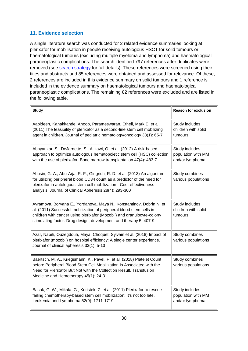# <span id="page-29-0"></span>**11. Evidence selection**

A single literature search was conducted for 2 related evidence summaries looking at plerixafor for mobilisation in people receiving autologous HSCT for solid tumours or haematological tumours (excluding multiple myeloma and lymphoma) and haematological paraneoplastic complications. The search identified 797 references after duplicates were removed (see [search strategy](#page-27-0) for full details). These references were screened using their titles and abstracts and 85 references were obtained and assessed for relevance. Of these, 2 references are included in this evidence summary on solid tumours and 1 reference is included in the evidence summary on haematological tumours and haematological paraneoplastic complications. The remaining 82 references were excluded and are listed in the following table.

| <b>Study</b>                                                                                                                                                                                                                                                                                | <b>Reason for exclusion</b>                             |
|---------------------------------------------------------------------------------------------------------------------------------------------------------------------------------------------------------------------------------------------------------------------------------------------|---------------------------------------------------------|
| Aabideen, Kanakkande, Anoop, Parameswaran, Ethell, Mark E. et al.<br>(2011) The feasibility of plerixafor as a second-line stem cell mobilizing<br>agent in children. Journal of pediatric hematology/oncology 33(1): 65-7                                                                  | Study includes<br>children with solid<br>tumours        |
| Abhyankar, S., DeJarnette, S., Aljitawi, O. et al. (2012) A risk-based<br>approach to optimize autologous hematopoietic stem cell (HSC) collection<br>with the use of plerixafor. Bone marrow transplantation 47(4): 483-7                                                                  | Study includes<br>population with MM<br>and/or lymphoma |
| Abusin, G. A., Abu-Arja, R. F., Gingrich, R. D. et al. (2013) An algorithm<br>for utilizing peripheral blood CD34 count as a predictor of the need for<br>plerixafor in autologous stem cell mobilization - Cost-effectiveness<br>analysis. Journal of Clinical Apheresis 28(4): 293-300    | Study combines<br>various populations                   |
| Avramova, Boryana E., Yordanova, Maya N., Konstantinov, Dobrin N. et<br>al. (2011) Successful mobilization of peripheral blood stem cells in<br>children with cancer using plerixafor (Mozobil) and granulocyte-colony<br>stimulating factor. Drug design, development and therapy 5: 407-9 | Study includes<br>children with solid<br>tumours        |
| Azar, Nabih, Ouzegdouh, Maya, Choquet, Sylvain et al. (2018) Impact of<br>plerixafor (mozobil) on hospital efficiency: A single center experience.<br>Journal of clinical apheresis 33(1): 5-13                                                                                             | Study combines<br>various populations                   |
| Baertsch, M. A., Kriegsmann, K., Pavel, P. et al. (2018) Platelet Count<br>before Peripheral Blood Stem Cell Mobilization Is Associated with the<br>Need for Plerixafor But Not with the Collection Result. Transfusion<br>Medicine and Hemotherapy 45(1): 24-31                            | Study combines<br>various populations                   |
| Basak, G. W., Mikala, G., Koristek, Z. et al. (2011) Plerixafor to rescue<br>failing chemotherapy-based stem cell mobilization: It's not too late.<br>Leukemia and Lymphoma 52(9): 1711-1719                                                                                                | Study includes<br>population with MM<br>and/or lymphoma |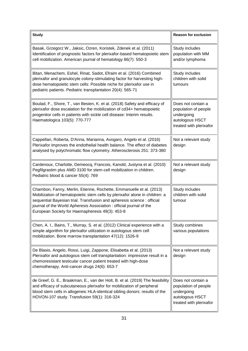| <b>Study</b>                                                                                                                                                                                                                                                                                                                                            | <b>Reason for exclusion</b>                                                                            |
|---------------------------------------------------------------------------------------------------------------------------------------------------------------------------------------------------------------------------------------------------------------------------------------------------------------------------------------------------------|--------------------------------------------------------------------------------------------------------|
| Basak, Grzegorz W., Jaksic, Ozren, Koristek, Zdenek et al. (2011)<br>Identification of prognostic factors for plerixafor-based hematopoietic stem<br>cell mobilization. American journal of hematology 86(7): 550-3                                                                                                                                     | Study includes<br>population with MM<br>and/or lymphoma                                                |
| Bitan, Menachem, Eshel, Rinat, Sadot, Efraim et al. (2016) Combined<br>plerixafor and granulocyte colony-stimulating factor for harvesting high-<br>dose hematopoietic stem cells: Possible niche for plerixafor use in<br>pediatric patients. Pediatric transplantation 20(4): 565-71                                                                  | Study includes<br>children with solid<br>tumours                                                       |
| Boulad, F., Shore, T., van Besien, K. et al. (2018) Safety and efficacy of<br>plerixafor dose escalation for the mobilization of cd34+ hematopoietic<br>progenitor cells in patients with sickle cell disease: Interim results.<br>Haematologica 103(5): 770-777                                                                                        | Does not contain a<br>population of people<br>undergoing<br>autologous HSCT<br>treated with plerixafor |
| Cappellari, Roberta, D'Anna, Marianna, Avogaro, Angelo et al. (2016)<br>Plerixafor improves the endothelial health balance. The effect of diabetes<br>analysed by polychromatic flow cytometry. Atherosclerosis 251: 373-380                                                                                                                            | Not a relevant study<br>design                                                                         |
| Cardenoux, Charlotte, Demeocq, Francois, Kanold, Justyna et al. (2010)<br>Pegfilgrastim plus AMD 3100 for stem-cell mobilization in children.<br>Pediatric blood & cancer 55(4): 769                                                                                                                                                                    | Not a relevant study<br>design                                                                         |
| Chambon, Fanny, Merlin, Etienne, Rochette, Emmanuelle et al. (2013)<br>Mobilization of hematopoietic stem cells by plerixafor alone in children: a<br>sequential Bayesian trial. Transfusion and apheresis science : official<br>journal of the World Apheresis Association: official journal of the<br>European Society for Haemapheresis 49(3): 453-8 | Study includes<br>children with solid<br>tumour                                                        |
| Chen, A. I., Bains, T., Murray, S. et al. (2012) Clinical experience with a<br>simple algorithm for plerixafor utilization in autologous stem cell<br>mobilization. Bone marrow transplantation 47(12): 1526-9                                                                                                                                          | Study combines<br>various populations                                                                  |
| De Blasio, Angelo, Rossi, Luigi, Zappone, Elisabetta et al. (2013)<br>Plerixafor and autologous stem cell transplantation: impressive result in a<br>chemoresistant testicular cancer patient treated with high-dose<br>chemotherapy. Anti-cancer drugs 24(6): 653-7                                                                                    | Not a relevant study<br>design                                                                         |
| de Greef, G. E., Braakman, E., van der Holt, B. et al. (2019) The feasibility<br>and efficacy of subcutaneous plerixafor for mobilization of peripheral<br>blood stem cells in allogeneic HLA-identical sibling donors: results of the<br>HOVON-107 study. Transfusion 59(1): 316-324                                                                   | Does not contain a<br>population of people<br>undergoing<br>autologous HSCT<br>treated with plerixafor |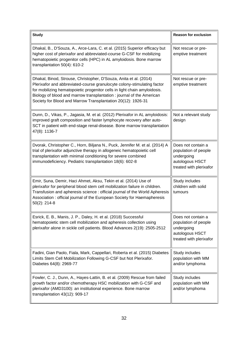| <b>Study</b>                                                                                                                                                                                                                                                                                                                                                      | <b>Reason for exclusion</b>                                                                            |
|-------------------------------------------------------------------------------------------------------------------------------------------------------------------------------------------------------------------------------------------------------------------------------------------------------------------------------------------------------------------|--------------------------------------------------------------------------------------------------------|
| Dhakal, B., D'Souza, A., Arce-Lara, C. et al. (2015) Superior efficacy but<br>higher cost of plerixafor and abbreviated-course G-CSF for mobilizing<br>hematopoietic progenitor cells (HPC) in AL amyloidosis. Bone marrow<br>transplantation 50(4): 610-2                                                                                                        | Not rescue or pre-<br>emptive treatment                                                                |
| Dhakal, Binod, Strouse, Christopher, D'Souza, Anita et al. (2014)<br>Plerixafor and abbreviated-course granulocyte colony-stimulating factor<br>for mobilizing hematopoietic progenitor cells in light chain amyloidosis.<br>Biology of blood and marrow transplantation: journal of the American<br>Society for Blood and Marrow Transplantation 20(12): 1926-31 | Not rescue or pre-<br>emptive treatment                                                                |
| Dunn, D., Vikas, P., Jagasia, M. et al. (2012) Plerixafor in AL amyloidosis:<br>improved graft composition and faster lymphocyte recovery after auto-<br>SCT in patient with end-stage renal-disease. Bone marrow transplantation<br>47(8): 1136-7                                                                                                                | Not a relevant study<br>design                                                                         |
| Dvorak, Christopher C., Horn, Biljana N., Puck, Jennifer M. et al. (2014) A<br>trial of plerixafor adjunctive therapy in allogeneic hematopoietic cell<br>transplantation with minimal conditioning for severe combined<br>immunodeficiency. Pediatric transplantation 18(6): 602-8                                                                               | Does not contain a<br>population of people<br>undergoing<br>autologous HSCT<br>treated with plerixafor |
| Emir, Suna, Demir, Haci Ahmet, Aksu, Tekin et al. (2014) Use of<br>plerixafor for peripheral blood stem cell mobilization failure in children.<br>Transfusion and apheresis science: official journal of the World Apheresis<br>Association: official journal of the European Society for Haemapheresis<br>$50(2)$ : 214-8                                        | Study includes<br>children with solid<br>tumours                                                       |
| Esrick, E. B., Manis, J. P., Daley, H. et al. (2018) Successful<br>hematopoietic stem cell mobilization and apheresis collection using<br>plerixafor alone in sickle cell patients. Blood Advances 2(19): 2505-2512                                                                                                                                               | Does not contain a<br>population of people<br>undergoing<br>autologous HSCT<br>treated with plerixafor |
| Fadini, Gian Paolo, Fiala, Mark, Cappellari, Roberta et al. (2015) Diabetes<br>Limits Stem Cell Mobilization Following G-CSF but Not Plerixafor.<br>Diabetes 64(8): 2969-77                                                                                                                                                                                       | Study includes<br>population with MM<br>and/or lymphoma                                                |
| Fowler, C. J., Dunn, A., Hayes-Lattin, B. et al. (2009) Rescue from failed<br>growth factor and/or chemotherapy HSC mobilization with G-CSF and<br>plerixafor (AMD3100): an institutional experience. Bone marrow<br>transplantation 43(12): 909-17                                                                                                               | Study includes<br>population with MM<br>and/or lymphoma                                                |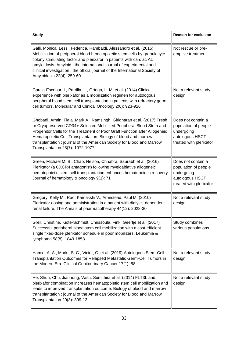| <b>Study</b>                                                                                                                                                                                                                                                                                                                                                                                                  | <b>Reason for exclusion</b>                                                                            |
|---------------------------------------------------------------------------------------------------------------------------------------------------------------------------------------------------------------------------------------------------------------------------------------------------------------------------------------------------------------------------------------------------------------|--------------------------------------------------------------------------------------------------------|
| Galli, Monica, Lessi, Federica, Rambaldi, Alessandro et al. (2015)<br>Mobilization of peripheral blood hematopoietic stem cells by granulocyte-<br>colony stimulating factor and plerixafor in patients with cardiac AL<br>amyloidosis. Amyloid: the international journal of experimental and<br>clinical investigation : the official journal of the International Society of<br>Amyloidosis 22(4): 259-60  | Not rescue or pre-<br>emptive treatment                                                                |
| Garcia-Escobar, I., Parrilla, L., Ortega, L. M. et al. (2014) Clinical<br>experience with plerixafor as a mobilization regimen for autologous<br>peripheral blood stem cell transplantation in patients with refractory germ<br>cell tumors. Molecular and Clinical Oncology 2(6): 923-926                                                                                                                    | Not a relevant study<br>design                                                                         |
| Ghobadi, Armin, Fiala, Mark A., Ramsingh, Giridharan et al. (2017) Fresh<br>or Cryopreserved CD34+-Selected Mobilized Peripheral Blood Stem and<br>Progenitor Cells for the Treatment of Poor Graft Function after Allogeneic<br>Hematopoietic Cell Transplantation. Biology of blood and marrow<br>transplantation: journal of the American Society for Blood and Marrow<br>Transplantation 23(7): 1072-1077 | Does not contain a<br>population of people<br>undergoing<br>autologous HSCT<br>treated with plerixafor |
| Green, Michael M. B., Chao, Nelson, Chhabra, Saurabh et al. (2016)<br>Plerixafor (a CXCR4 antagonist) following myeloablative allogeneic<br>hematopoietic stem cell transplantation enhances hematopoietic recovery.<br>Journal of hematology & oncology 9(1): 71                                                                                                                                             | Does not contain a<br>population of people<br>undergoing<br>autologous HSCT<br>treated with plerixafor |
| Gregory, Kelly M.; Rao, Kamakshi V.; Armistead, Paul M. (2010)<br>Plerixafor dosing and administration in a patient with dialysis-dependent<br>renal failure. The Annals of pharmacotherapy 44(12): 2028-30                                                                                                                                                                                                   | Not a relevant study<br>design                                                                         |
| Greil, Christine, Kiote-Schmidt, Chrissoula, Fink, Geertje et al. (2017)<br>Successful peripheral blood stem cell mobilization with a cost-efficient<br>single fixed-dose plerixafor schedule in poor mobilizers. Leukemia &<br>lymphoma 58(8): 1849-1858                                                                                                                                                     | Study combines<br>various populations                                                                  |
| Hamid, A. A., Markt, S. C., Vicier, C. et al. (2019) Autologous Stem-Cell<br>Transplantation Outcomes for Relapsed Metastatic Germ-Cell Tumors in<br>the Modern Era. Clinical Genitourinary Cancer 17(1): 58                                                                                                                                                                                                  | Not a relevant study<br>design                                                                         |
| He, Shun, Chu, Jianhong, Vasu, Sumithira et al. (2014) FLT3L and<br>plerixafor combination increases hematopoietic stem cell mobilization and<br>leads to improved transplantation outcome. Biology of blood and marrow<br>transplantation : journal of the American Society for Blood and Marrow<br>Transplantation 20(3): 309-13                                                                            | Not a relevant study<br>design                                                                         |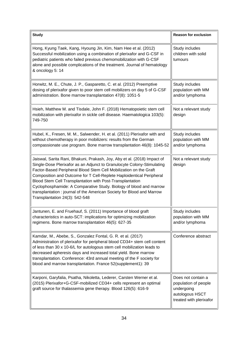| <b>Study</b>                                                                                                                                                                                                                                                                                                                                                                                                                                                                                                                                  | <b>Reason for exclusion</b>                                                                            |
|-----------------------------------------------------------------------------------------------------------------------------------------------------------------------------------------------------------------------------------------------------------------------------------------------------------------------------------------------------------------------------------------------------------------------------------------------------------------------------------------------------------------------------------------------|--------------------------------------------------------------------------------------------------------|
| Hong, Kyung Taek, Kang, Hyoung Jin, Kim, Nam Hee et al. (2012)<br>Successful mobilization using a combination of plerixafor and G-CSF in<br>pediatric patients who failed previous chemomobilization with G-CSF<br>alone and possible complications of the treatment. Journal of hematology<br>& oncology 5: 14                                                                                                                                                                                                                               | Study includes<br>children with solid<br>tumours                                                       |
| Horwitz, M. E., Chute, J. P., Gasparetto, C. et al. (2012) Preemptive<br>dosing of plerixafor given to poor stem cell mobilizers on day 5 of G-CSF<br>administration. Bone marrow transplantation 47(8): 1051-5                                                                                                                                                                                                                                                                                                                               | Study includes<br>population with MM<br>and/or lymphoma                                                |
| Hsieh, Matthew M. and Tisdale, John F. (2018) Hematopoietic stem cell<br>mobilization with plerixafor in sickle cell disease. Haematologica 103(5):<br>749-750                                                                                                                                                                                                                                                                                                                                                                                | Not a relevant study<br>design                                                                         |
| Hubel, K., Fresen, M. M., Salwender, H. et al. (2011) Plerixafor with and<br>without chemotherapy in poor mobilizers: results from the German<br>compassionate use program. Bone marrow transplantation 46(8): 1045-52                                                                                                                                                                                                                                                                                                                        | Study includes<br>population with MM<br>and/or lymphoma                                                |
| Jaiswal, Sarita Rani, Bhakuni, Prakash, Joy, Aby et al. (2018) Impact of<br>Single-Dose Plerixafor as an Adjunct to Granulocyte Colony-Stimulating<br>Factor-Based Peripheral Blood Stem Cell Mobilization on the Graft<br>Composition and Outcome for T Cell-Replete Haploidentical Peripheral<br>Blood Stem Cell Transplantation with Post-Transplantation<br>Cyclophosphamide: A Comparative Study. Biology of blood and marrow<br>transplantation: journal of the American Society for Blood and Marrow<br>Transplantation 24(3): 542-548 | Not a relevant study<br>design                                                                         |
| Jantunen, E. and Fruehauf, S. (2011) Importance of blood graft<br>characteristics in auto-SCT: implications for optimizing mobilization<br>regimens. Bone marrow transplantation 46(5): 627-35                                                                                                                                                                                                                                                                                                                                                | Study includes<br>population with MM<br>and/or lymphoma                                                |
| Kamdar, M., Abebe, S., Gonzalez Fontal, G. R. et al. (2017)<br>Administration of plerixafor for peripheral blood CD34+ stem cell content<br>of less than 30 x 10-6/L for autologous stem cell mobilization leads to<br>decreased apheresis days and increased total yield. Bone marrow<br>transplantation. Conference: 43rd annual meeting of the F society for<br>blood and marrow transplantation. France 52(supplement1): 39                                                                                                               | Conference abstract                                                                                    |
| Karponi, Garyfalia, Psatha, Nikoletta, Lederer, Carsten Werner et al.<br>(2015) Plerixafor+G-CSF-mobilized CD34+ cells represent an optimal<br>graft source for thalassemia gene therapy. Blood 126(5): 616-9                                                                                                                                                                                                                                                                                                                                 | Does not contain a<br>population of people<br>undergoing<br>autologous HSCT<br>treated with plerixafor |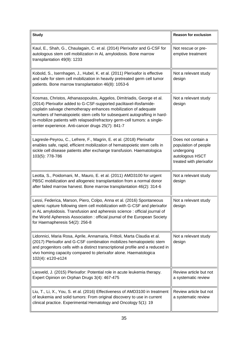| <b>Study</b>                                                                                                                                                                                                                                                                                                                                                                                                                 | <b>Reason for exclusion</b>                                                                            |
|------------------------------------------------------------------------------------------------------------------------------------------------------------------------------------------------------------------------------------------------------------------------------------------------------------------------------------------------------------------------------------------------------------------------------|--------------------------------------------------------------------------------------------------------|
| Kaul, E., Shah, G., Chaulagain, C. et al. (2014) Plerixafor and G-CSF for<br>autologous stem cell mobilization in AL amyloidosis. Bone marrow<br>transplantation 49(9): 1233                                                                                                                                                                                                                                                 | Not rescue or pre-<br>emptive treatment                                                                |
| Kobold, S., Isernhagen, J., Hubel, K. et al. (2011) Plerixafor is effective<br>and safe for stem cell mobilization in heavily pretreated germ cell tumor<br>patients. Bone marrow transplantation 46(8): 1053-6                                                                                                                                                                                                              | Not a relevant study<br>design                                                                         |
| Kosmas, Christos, Athanasopoulos, Aggelos, Dimitriadis, George et al.<br>(2014) Plerixafor added to G-CSF-supported paclitaxel-ifosfamide-<br>cisplatin salvage chemotherapy enhances mobilization of adequate<br>numbers of hematopoietic stem cells for subsequent autografting in hard-<br>to-mobilize patients with relapsed/refractory germ-cell tumors: a single-<br>center experience. Anti-cancer drugs 25(7): 841-7 | Not a relevant study<br>design                                                                         |
| Lagresle-Peyrou, C., Lefrere, F., Magrin, E. et al. (2018) Plerixafor<br>enables safe, rapid, efficient mobilization of hematopoietic stem cells in<br>sickle cell disease patients after exchange transfusion. Haematologica<br>103(5): 778-786                                                                                                                                                                             | Does not contain a<br>population of people<br>undergoing<br>autologous HSCT<br>treated with plerixafor |
| Leotta, S., Poidomani, M., Mauro, E. et al. (2011) AMD3100 for urgent<br>PBSC mobilization and allogeneic transplantation from a normal donor<br>after failed marrow harvest. Bone marrow transplantation 46(2): 314-6                                                                                                                                                                                                       | Not a relevant study<br>design                                                                         |
| Lessi, Federica, Marson, Piero, Colpo, Anna et al. (2016) Spontaneous<br>splenic rupture following stem cell mobilization with G-CSF and plerixafor<br>in AL amyloidosis. Transfusion and apheresis science : official journal of<br>the World Apheresis Association: official journal of the European Society<br>for Haemapheresis 54(2): 256-8                                                                             | Not a relevant study<br>design                                                                         |
| Lidonnici, Maria Rosa, Aprile, Annamaria, Frittoli, Marta Claudia et al.<br>(2017) Plerixafor and G-CSF combination mobilizes hematopoietic stem<br>and progenitors cells with a distinct transcriptional profile and a reduced in<br>vivo homing capacity compared to plerixafor alone. Haematologica<br>102(4): e120-e124                                                                                                  | Not a relevant study<br>design                                                                         |
| Liesveld, J. (2015) Plerixafor: Potential role in acute leukemia therapy.<br>Expert Opinion on Orphan Drugs 3(4): 467-475                                                                                                                                                                                                                                                                                                    | Review article but not<br>a systematic review                                                          |
| Liu, T., Li, X., You, S. et al. (2016) Effectiveness of AMD3100 in treatment<br>of leukemia and solid tumors: From original discovery to use in current<br>clinical practice. Experimental Hematology and Oncology 5(1): 19                                                                                                                                                                                                  | Review article but not<br>a systematic review                                                          |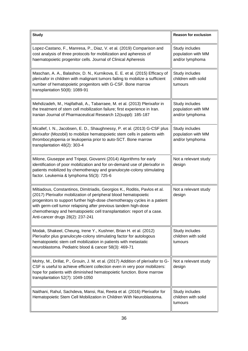| <b>Study</b>                                                                                                                                                                                                                                                                                                                                                                                                | <b>Reason for exclusion</b>                             |
|-------------------------------------------------------------------------------------------------------------------------------------------------------------------------------------------------------------------------------------------------------------------------------------------------------------------------------------------------------------------------------------------------------------|---------------------------------------------------------|
| Lopez-Castano, F., Manresa, P., Diaz, V. et al. (2019) Comparison and<br>cost analysis of three protocols for mobilization and apheresis of<br>haematopoietic progenitor cells. Journal of Clinical Apheresis                                                                                                                                                                                               | Study includes<br>population with MM<br>and/or lymphoma |
| Maschan, A. A., Balashov, D. N., Kurnikova, E. E. et al. (2015) Efficacy of<br>plerixafor in children with malignant tumors failing to mobilize a sufficient<br>number of hematopoietic progenitors with G-CSF. Bone marrow<br>transplantation 50(8): 1089-91                                                                                                                                               | Study includes<br>children with solid<br>tumours        |
| Mehdizadeh, M., Hajifathali, A., Tabarraee, M. et al. (2013) Plerixafor in<br>the treatment of stem cell mobilization failure; first experience in Iran.<br>Iranian Journal of Pharmaceutical Research 12(suppl): 185-187                                                                                                                                                                                   | Study includes<br>population with MM<br>and/or lymphoma |
| Micallef, I. N., Jacobsen, E. D., Shaughnessy, P. et al. (2013) G-CSF plus<br>plerixafor (Mozobil) to mobilize hematopoietic stem cells in patients with<br>thrombocytopenia or leukopenia prior to auto-SCT. Bone marrow<br>transplantation 48(2): 303-4                                                                                                                                                   | Study includes<br>population with MM<br>and/or lymphoma |
| Milone, Giuseppe and Tripepi, Giovanni (2014) Algorithms for early<br>identification of poor mobilization and for on-demand use of plerixafor in<br>patients mobilized by chemotherapy and granulocyte-colony stimulating<br>factor. Leukemia & lymphoma 55(3): 725-6                                                                                                                                       | Not a relevant study<br>design                          |
| Miltiadous, Constantinos, Dimitriadis, Georgios K., Roditis, Pavlos et al.<br>(2017) Plerixafor mobilization of peripheral blood hematopoietic<br>progenitors to support further high-dose chemotherapy cycles in a patient<br>with germ-cell tumor relapsing after previous tandem high-dose<br>chemotherapy and hematopoietic cell transplantation: report of a case.<br>Anti-cancer drugs 28(2): 237-241 | Not a relevant study<br>design                          |
| Modak, Shakeel, Cheung, Irene Y., Kushner, Brian H. et al. (2012)<br>Plerixafor plus granulocyte-colony stimulating factor for autologous<br>hematopoietic stem cell mobilization in patients with metastatic<br>neuroblastoma. Pediatric blood & cancer 58(3): 469-71                                                                                                                                      | Study includes<br>children with solid<br>tumours        |
| Mohty, M., Drillat, P., Grouin, J. M. et al. (2017) Addition of plerixafor to G-<br>CSF is useful to achieve efficient collection even in very poor mobilizers:<br>hope for patients with diminished hematopoietic function. Bone marrow<br>transplantation 52(7): 1049-1050                                                                                                                                | Not a relevant study<br>design                          |
| Naithani, Rahul, Sachdeva, Mansi, Rai, Reeta et al. (2016) Plerixafor for<br>Hematopoietic Stem Cell Mobilization in Children With Neuroblastoma.                                                                                                                                                                                                                                                           | Study includes<br>children with solid<br>tumours        |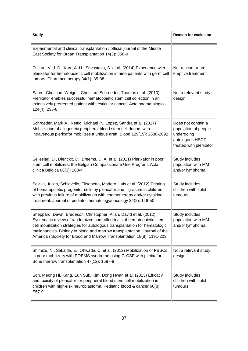| <b>Study</b>                                                                                                                                                                                                                                                                                                                                                                       | <b>Reason for exclusion</b>                                                                            |
|------------------------------------------------------------------------------------------------------------------------------------------------------------------------------------------------------------------------------------------------------------------------------------------------------------------------------------------------------------------------------------|--------------------------------------------------------------------------------------------------------|
| Experimental and clinical transplantation: official journal of the Middle<br>East Society for Organ Transplantation 14(3): 358-9                                                                                                                                                                                                                                                   |                                                                                                        |
| O'Hara, V. J. D., Karr, A. H., Srivastava, S. et al. (2014) Experience with<br>plerixafor for hematopoietic cell mobilization in nine patients with germ cell<br>tumors. Pharmacotherapy 34(1): 85-88                                                                                                                                                                              | Not rescue or pre-<br>emptive treatment                                                                |
| Saure, Christian, Weigelt, Christian, Schroeder, Thomas et al. (2010)<br>Plerixafor enables successful hematopoietic stem cell collection in an<br>extensively pretreated patient with testicular cancer. Acta haematologica<br>124(4): 235-8                                                                                                                                      | Not a relevant study<br>design                                                                         |
| Schroeder, Mark A., Rettig, Michael P., Lopez, Sandra et al. (2017)<br>Mobilization of allogeneic peripheral blood stem cell donors with<br>intravenous plerixafor mobilizes a unique graft. Blood 129(19): 2680-2692                                                                                                                                                              | Does not contain a<br>population of people<br>undergoing<br>autologous HSCT<br>treated with plerixafor |
| Selleslag, D., Dierickx, D., Breems, D. A. et al. (2011) Plerixafor in poor<br>stem cell mobilizers: the Belgian Compassionate Use Program. Acta<br>clinica Belgica 66(3): 200-4                                                                                                                                                                                                   | Study includes<br>population with MM<br>and/or lymphoma                                                |
| Sevilla, Julian, Schiavello, Elisabetta, Madero, Luis et al. (2012) Priming<br>of hematopoietic progenitor cells by plerixafor and filgrastim in children<br>with previous failure of mobilization with chemotherapy and/or cytokine<br>treatment. Journal of pediatric hematology/oncology 34(2): 146-50                                                                          | Study includes<br>children with solid<br>tumours                                                       |
| Sheppard, Dawn, Bredeson, Christopher, Allan, David et al. (2012)<br>Systematic review of randomized controlled trials of hematopoietic stem<br>cell mobilization strategies for autologous transplantation for hematologic<br>malignancies. Biology of blood and marrow transplantation : journal of the<br>American Society for Blood and Marrow Transplantation 18(8): 1191-203 | Study includes<br>population with MM<br>and/or lymphoma                                                |
| Shimizu, N., Sakaida, E., Ohwada, C. et al. (2012) Mobilization of PBSCs<br>in poor mobilizers with POEMS syndrome using G-CSF with plerixafor.<br>Bone marrow transplantation 47(12): 1587-8                                                                                                                                                                                      | Not a relevant study<br>design                                                                         |
| Son, Meong Hi, Kang, Eun Suk, Kim, Dong Hwan et al. (2013) Efficacy<br>and toxicity of plerixafor for peripheral blood stem cell mobilization in<br>children with high-risk neuroblastoma. Pediatric blood & cancer 60(8):<br>E57-9                                                                                                                                                | Study includes<br>children with solid<br>tumours                                                       |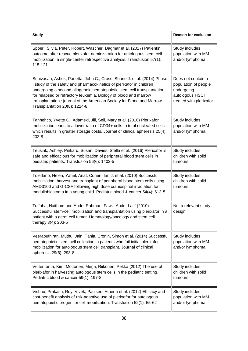| <b>Study</b>                                                                                                                                                                                                                                                                                                                                                                                             | <b>Reason for exclusion</b>                                                                            |
|----------------------------------------------------------------------------------------------------------------------------------------------------------------------------------------------------------------------------------------------------------------------------------------------------------------------------------------------------------------------------------------------------------|--------------------------------------------------------------------------------------------------------|
| Spoerl, Silvia, Peter, Robert, Wascher, Dagmar et al. (2017) Patients'<br>outcome after rescue plerixafor administration for autologous stem cell<br>mobilization: a single-center retrospective analysis. Transfusion 57(1):<br>115-121                                                                                                                                                                 | Study includes<br>population with MM<br>and/or lymphoma                                                |
| Srinivasan, Ashok, Panetta, John C., Cross, Shane J. et al. (2014) Phase<br>I study of the safety and pharmacokinetics of plerixafor in children<br>undergoing a second allogeneic hematopoietic stem cell transplantation<br>for relapsed or refractory leukemia. Biology of blood and marrow<br>transplantation: journal of the American Society for Blood and Marrow<br>Transplantation 20(8): 1224-8 | Does not contain a<br>population of people<br>undergoing<br>autologous HSCT<br>treated with plerixafor |
| Tanhehco, Yvette C., Adamski, Jill, Sell, Mary et al. (2010) Plerixafor<br>mobilization leads to a lower ratio of CD34+ cells to total nucleated cells<br>which results in greater storage costs. Journal of clinical apheresis 25(4):<br>$202 - 8$                                                                                                                                                      | Study includes<br>population with MM<br>and/or lymphoma                                                |
| Teusink, Ashley, Pinkard, Susan, Davies, Stella et al. (2016) Plerixafor is<br>safe and efficacious for mobilization of peripheral blood stem cells in<br>pediatric patients. Transfusion 56(6): 1402-5                                                                                                                                                                                                  | Study includes<br>children with solid<br>tumours                                                       |
| Toledano, Helen, Yahel, Anat, Cohen, Ian J. et al. (2010) Successful<br>mobilization, harvest and transplant of peripheral blood stem cells using<br>AMD3100 and G-CSF following high dose craniospinal irradiation for<br>medulloblastoma in a young child. Pediatric blood & cancer 54(4): 613-5                                                                                                       | Study includes<br>children with solid<br>tumours                                                       |
| Tuffaha, Haitham and Abdel-Rahman, Fawzi Abdel-Latif (2010)<br>Successful stem-cell mobilization and transplantation using plerixafor in a<br>patient with a germ cell tumor. Hematology/oncology and stem cell<br>therapy 3(4): 203-5                                                                                                                                                                   | Not a relevant study<br>design                                                                         |
| Veeraputhiran, Muthu, Jain, Tania, Cronin, Simon et al. (2014) Successful<br>hematopoietic stem cell collection in patients who fail initial plerixafor<br>mobilization for autologous stem cell transplant. Journal of clinical<br>apheresis 29(6): 293-8                                                                                                                                               | Study includes<br>population with MM<br>and/or lymphoma                                                |
| Vettenranta, Kim; Mottonen, Merja; Riikonen, Pekka (2012) The use of<br>plerixafor in harvesting autologous stem cells in the pediatric setting.<br>Pediatric blood & cancer 59(1): 197-8                                                                                                                                                                                                                | Study includes<br>children with solid<br>tumours                                                       |
| Vishnu, Prakash, Roy, Vivek, Paulsen, Athena et al. (2012) Efficacy and<br>cost-benefit analysis of risk-adaptive use of plerixafor for autologous<br>hematopoietic progenitor cell mobilization. Transfusion 52(1): 55-62                                                                                                                                                                               | Study includes<br>population with MM<br>and/or lymphoma                                                |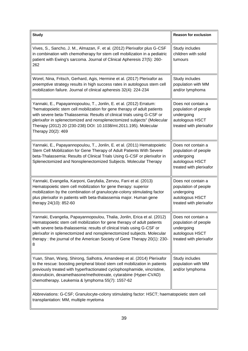| <b>Study</b>                                                                                                                                                                                                                                                                                                                                                                                    | <b>Reason for exclusion</b>                                                                            |  |
|-------------------------------------------------------------------------------------------------------------------------------------------------------------------------------------------------------------------------------------------------------------------------------------------------------------------------------------------------------------------------------------------------|--------------------------------------------------------------------------------------------------------|--|
| Vives, S., Sancho, J. M., Almazan, F. et al. (2012) Plerixafor plus G-CSF<br>in combination with chemotherapy for stem cell mobilization in a pediatric<br>patient with Ewing's sarcoma. Journal of Clinical Apheresis 27(5): 260-<br>262                                                                                                                                                       | Study includes<br>children with solid<br>tumours                                                       |  |
| Worel, Nina, Fritsch, Gerhard, Agis, Hermine et al. (2017) Plerixafor as<br>preemptive strategy results in high success rates in autologous stem cell<br>mobilization failure. Journal of clinical apheresis 32(4): 224-234                                                                                                                                                                     | Study includes<br>population with MM<br>and/or lymphoma                                                |  |
| Yannaki, E., Papayannopoulou, T., Jonlin, E. et al. (2012) Erratum:<br>"hematopoietic stem cell mobilization for gene therapy of adult patients<br>with severe beta-Thalassemia: Results of clinical trials using G-CSF or<br>plerixafor in splenectomized and nonsplenectomized subjects" (Molecular<br>Therapy (2012) 20 (230-238) DOI: 10.1038/mt.2011.195). Molecular<br>Therapy 20(2): 469 | Does not contain a<br>population of people<br>undergoing<br>autologous HSCT<br>treated with plerixafor |  |
| Yannaki, E., Papayannopoulou, T., Jonlin, E. et al. (2011) Hematopoietic<br>Stem Cell Mobilization for Gene Therapy of Adult Patients With Severe<br>beta-Thalassemia: Results of Clinical Trials Using G-CSF or plerixafor in<br>Splenectomized and Nonsplenectomized Subjects. Molecular Therapy                                                                                              | Does not contain a<br>population of people<br>undergoing<br>autologous HSCT<br>treated with plerixafor |  |
| Yannaki, Evangelia, Karponi, Garyfalia, Zervou, Fani et al. (2013)<br>Hematopoietic stem cell mobilization for gene therapy: superior<br>mobilization by the combination of granulocyte-colony stimulating factor<br>plus plerixafor in patients with beta-thalassemia major. Human gene<br>therapy 24(10): 852-60                                                                              | Does not contain a<br>population of people<br>undergoing<br>autologous HSCT<br>treated with plerixafor |  |
| Yannaki, Evangelia, Papayannopoulou, Thalia, Jonlin, Erica et al. (2012)<br>Hematopoietic stem cell mobilization for gene therapy of adult patients<br>with severe beta-thalassemia: results of clinical trials using G-CSF or<br>plerixafor in splenectomized and nonsplenectomized subjects. Molecular<br>therapy: the journal of the American Society of Gene Therapy 20(1): 230-<br>8       | Does not contain a<br>population of people<br>undergoing<br>autologous HSCT<br>treated with plerixafor |  |
| Yuan, Shan, Wang, Shirong, Salhotra, Amandeep et al. (2014) Plerixafor<br>to the rescue: boosting peripheral blood stem cell mobilization in patients<br>previously treated with hyperfractionated cyclophosphamide, vincristine,<br>doxorubicin, dexamethasone/methotrexate, cytarabine (Hyper-CVAD)<br>chemotherapy. Leukemia & lymphoma 55(7): 1557-62                                       | Study includes<br>population with MM<br>and/or lymphoma                                                |  |
| Abbreviations: G-CSF; Granulocyte-colony stimulating factor: HSCT; haematopoietic stem cell<br>transplantation: MM, multiple myeloma                                                                                                                                                                                                                                                            |                                                                                                        |  |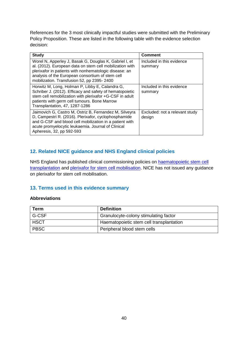References for the 3 most clinically impactful studies were submitted with the Preliminary Policy Proposition. These are listed in the following table with the evidence selection decision:

| <b>Study</b>                                                                                                                                                                                                                                                                   | <b>Comment</b>                           |
|--------------------------------------------------------------------------------------------------------------------------------------------------------------------------------------------------------------------------------------------------------------------------------|------------------------------------------|
| Worel N, Apperley J, Basak G, Douglas K, Gabriel I, et<br>al. (2012). European data on stem cell mobilization with<br>plerixafor in patients with nonhematologic disease: an<br>analysis of the European consortium of stem cell<br>mobilization. Transfusion 52, pp 2395-2400 | Included in this evidence<br>summary     |
| Horwitz M, Long, Holman P, Libby E, Calandra G,<br>Schriber J. (2012). Efficacy and safety of hematopoietic<br>stem cell remobilization with plerixafor +G-CSF in adult<br>patients with germ cell tumours. Bone Marrow<br>Transplantation, 47, 1287-1286                      | Included in this evidence<br>summary     |
| Jaimovich G, Castro M, Ostriz B, Fernandez M, Silveyra<br>D, Campestri R. (2016). Plerixafor, cyclophosphamide<br>and G-CSF and blood cell mobilization in a patient with<br>acute promyelocytic leukaemia. Journal of Clinical<br>Apheresis, 32, pp 592-593                   | Excluded: not a relevant study<br>design |

## <span id="page-39-0"></span>**12. Related NICE guidance and NHS England clinical policies**

NHS England has published clinical commissioning policies on [haematopoietic stem cell](https://www.england.nhs.uk/wp-content/uploads/2018/07/Haematopoietic-stem-cell-transplantation-All-Ages.pdf)  [transplantation](https://www.england.nhs.uk/wp-content/uploads/2018/07/Haematopoietic-stem-cell-transplantation-All-Ages.pdf) and [plerixafor for stem cell mobilisation.](https://www.england.nhs.uk/wp-content/uploads/2018/07/Plerixafor-for-paediatric-stem-cell-mobilisation.pdf) NICE has not issued any guidance on plerixafor for stem cell mobilisation.

#### <span id="page-39-1"></span>**13. Terms used in this evidence summary**

#### <span id="page-39-2"></span>**Abbreviations**

| <b>Term</b> | <b>Definition</b>                        |
|-------------|------------------------------------------|
| G-CSF       | Granulocyte-colony stimulating factor    |
| <b>HSCT</b> | Haematopoietic stem cell transplantation |
| <b>PBSC</b> | Peripheral blood stem cells              |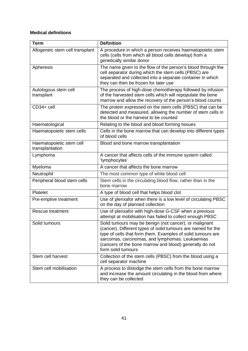# <span id="page-40-0"></span>**Medical definitions**

| <b>Term</b>                                 | <b>Definition</b>                                                                                                                                                                                                                                                                                                         |
|---------------------------------------------|---------------------------------------------------------------------------------------------------------------------------------------------------------------------------------------------------------------------------------------------------------------------------------------------------------------------------|
| Allogeneic stem cell transplant             | A procedure in which a person receives haematopoietic stem<br>cells (cells from which all blood cells develop) from a<br>genetically similar donor                                                                                                                                                                        |
| Apheresis                                   | The name given to the flow of the person's blood through the<br>cell separator during which the stem cells (PBSC) are<br>separated and collected into a separate container in which<br>they can then be frozen for later use                                                                                              |
| Autologous stem cell<br>transplant          | The process of high-dose chemotherapy followed by infusion<br>of the harvested stem cells which will repopulate the bone<br>marrow and allow the recovery of the person's blood counts                                                                                                                                    |
| CD34+ cell                                  | The protein expressed on the stem cells (PBSC) that can be<br>detected and measured, allowing the number of stem cells in<br>the blood or the harvest to be counted                                                                                                                                                       |
| Haematological                              | Relating to the blood and blood forming tissues                                                                                                                                                                                                                                                                           |
| Haematopoietic stem cells                   | Cells in the bone marrow that can develop into different types<br>of blood cells                                                                                                                                                                                                                                          |
| Haematopoietic stem cell<br>transplantation | Blood and bone marrow transplantation                                                                                                                                                                                                                                                                                     |
| Lymphoma                                    | A cancer that affects cells of the immune system called<br>'lymphocytes'                                                                                                                                                                                                                                                  |
| Myeloma                                     | A cancer that affects the bone marrow                                                                                                                                                                                                                                                                                     |
| Neutrophil                                  | The most common type of white blood cell                                                                                                                                                                                                                                                                                  |
| Peripheral blood stem cells                 | Stem cells in the circulating blood flow, rather than in the<br>bone marrow                                                                                                                                                                                                                                               |
| Platelet                                    | A type of blood cell that helps blood clot                                                                                                                                                                                                                                                                                |
| Pre-emptive treatment                       | Use of plerixafor when there is a low level of circulating PBSC<br>on the day of planned collection                                                                                                                                                                                                                       |
| Rescue treatment                            | Use of plerixafor with high-dose G-CSF when a previous<br>attempt at mobilisation has failed to collect enough PBSC                                                                                                                                                                                                       |
| Solid tumours                               | Solid tumours may be benign (not cancer), or malignant<br>(cancer). Different types of solid tumours are named for the<br>type of cells that form them. Examples of solid tumours are<br>sarcomas, carcinomas, and lymphomas. Leukaemias<br>(cancers of the bone marrow and blood) generally do not<br>form solid tumours |
| Stem cell harvest                           | Collection of the stem cells (PBSC) from the blood using a<br>cell separator machine                                                                                                                                                                                                                                      |
| Stem cell mobilisation                      | A process to dislodge the stem cells from the bone marrow<br>and increase the amount circulating in the blood from where<br>they can be collected                                                                                                                                                                         |